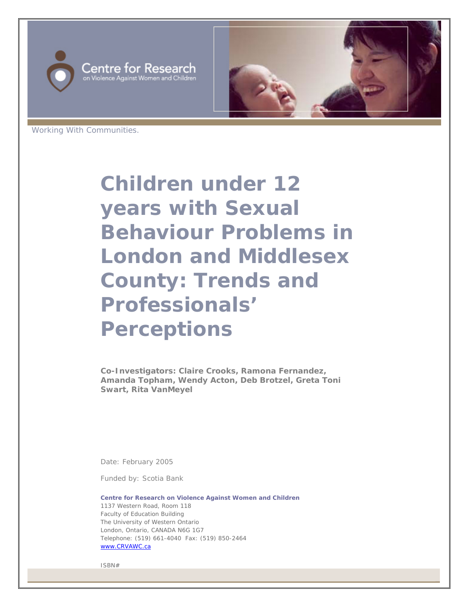



Working With Communities.

**Children under 12 years with Sexual Behaviour Problems in London and Middlesex County: Trends and Professionals' Perceptions** 

**Co-Investigators: Claire Crooks, Ramona Fernandez, Amanda Topham, Wendy Acton, Deb Brotzel, Greta Toni Swart, Rita VanMeyel**

Date: February 2005

Funded by: Scotia Bank

**Centre for Research on Violence Against Women and Children** 1137 Western Road, Room 118 Faculty of Education Building The University of Western Ontario London, Ontario, CANADA N6G 1G7 Telephone: (519) 661-4040 Fax: (519) 850-2464 www.CRVAWC.ca

ISBN#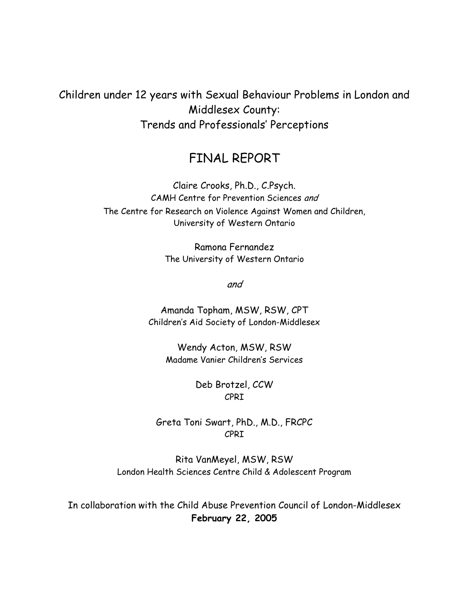Children under 12 years with Sexual Behaviour Problems in London and Middlesex County: Trends and Professionals' Perceptions

# FINAL REPORT

Claire Crooks, Ph.D., C.Psych. CAMH Centre for Prevention Sciences and The Centre for Research on Violence Against Women and Children, University of Western Ontario

> Ramona Fernandez The University of Western Ontario

> > and

Amanda Topham, MSW, RSW, CPT Children's Aid Society of London-Middlesex

Wendy Acton, MSW, RSW Madame Vanier Children's Services

> Deb Brotzel, CCW CPRI

Greta Toni Swart, PhD., M.D., FRCPC CPRI

Rita VanMeyel, MSW, RSW London Health Sciences Centre Child & Adolescent Program

In collaboration with the Child Abuse Prevention Council of London-Middlesex **February 22, 2005**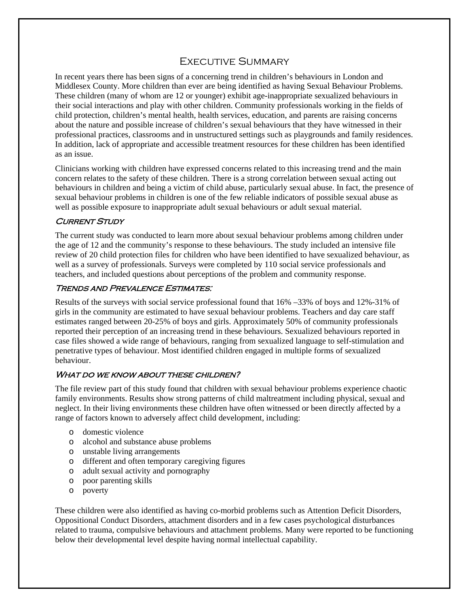# Executive Summary

In recent years there has been signs of a concerning trend in children's behaviours in London and Middlesex County. More children than ever are being identified as having Sexual Behaviour Problems. These children (many of whom are 12 or younger) exhibit age-inappropriate sexualized behaviours in their social interactions and play with other children. Community professionals working in the fields of child protection, children's mental health, health services, education, and parents are raising concerns about the nature and possible increase of children's sexual behaviours that they have witnessed in their professional practices, classrooms and in unstructured settings such as playgrounds and family residences. In addition, lack of appropriate and accessible treatment resources for these children has been identified as an issue.

Clinicians working with children have expressed concerns related to this increasing trend and the main concern relates to the safety of these children. There is a strong correlation between sexual acting out behaviours in children and being a victim of child abuse, particularly sexual abuse. In fact, the presence of sexual behaviour problems in children is one of the few reliable indicators of possible sexual abuse as well as possible exposure to inappropriate adult sexual behaviours or adult sexual material.

#### **CURRENT STUDY**

The current study was conducted to learn more about sexual behaviour problems among children under the age of 12 and the community's response to these behaviours. The study included an intensive file review of 20 child protection files for children who have been identified to have sexualized behaviour, as well as a survey of professionals. Surveys were completed by 110 social service professionals and teachers, and included questions about perceptions of the problem and community response.

#### Trends and Prevalence Estimates:

Results of the surveys with social service professional found that 16% –33% of boys and 12%-31% of girls in the community are estimated to have sexual behaviour problems. Teachers and day care staff estimates ranged between 20-25% of boys and girls. Approximately 50% of community professionals reported their perception of an increasing trend in these behaviours. Sexualized behaviours reported in case files showed a wide range of behaviours, ranging from sexualized language to self-stimulation and penetrative types of behaviour. Most identified children engaged in multiple forms of sexualized behaviour.

#### WHAT DO WE KNOW ABOUT THESE CHILDREN?

The file review part of this study found that children with sexual behaviour problems experience chaotic family environments. Results show strong patterns of child maltreatment including physical, sexual and neglect. In their living environments these children have often witnessed or been directly affected by a range of factors known to adversely affect child development, including:

- o domestic violence
- o alcohol and substance abuse problems
- o unstable living arrangements
- o different and often temporary caregiving figures
- o adult sexual activity and pornography
- o poor parenting skills
- o poverty

These children were also identified as having co-morbid problems such as Attention Deficit Disorders, Oppositional Conduct Disorders, attachment disorders and in a few cases psychological disturbances related to trauma, compulsive behaviours and attachment problems. Many were reported to be functioning below their developmental level despite having normal intellectual capability.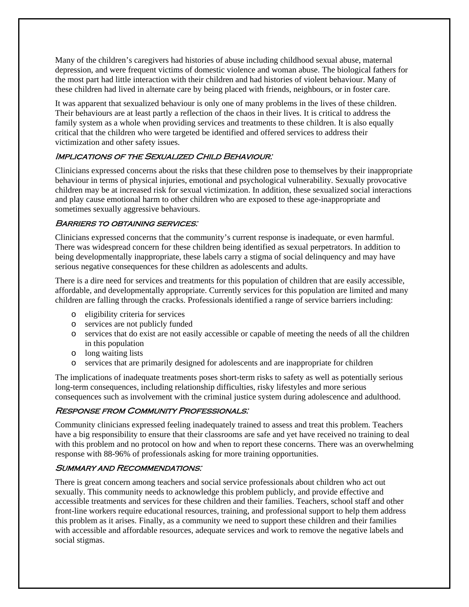Many of the children's caregivers had histories of abuse including childhood sexual abuse, maternal depression, and were frequent victims of domestic violence and woman abuse. The biological fathers for the most part had little interaction with their children and had histories of violent behaviour. Many of these children had lived in alternate care by being placed with friends, neighbours, or in foster care.

It was apparent that sexualized behaviour is only one of many problems in the lives of these children. Their behaviours are at least partly a reflection of the chaos in their lives. It is critical to address the family system as a whole when providing services and treatments to these children. It is also equally critical that the children who were targeted be identified and offered services to address their victimization and other safety issues.

#### IMPLICATIONS OF THE SEXUALIZED CHILD BEHAVIOUR:

Clinicians expressed concerns about the risks that these children pose to themselves by their inappropriate behaviour in terms of physical injuries, emotional and psychological vulnerability. Sexually provocative children may be at increased risk for sexual victimization. In addition, these sexualized social interactions and play cause emotional harm to other children who are exposed to these age-inappropriate and sometimes sexually aggressive behaviours.

#### BARRIERS TO OBTAINING SERVICES:

Clinicians expressed concerns that the community's current response is inadequate, or even harmful. There was widespread concern for these children being identified as sexual perpetrators. In addition to being developmentally inappropriate, these labels carry a stigma of social delinquency and may have serious negative consequences for these children as adolescents and adults.

There is a dire need for services and treatments for this population of children that are easily accessible, affordable, and developmentally appropriate. Currently services for this population are limited and many children are falling through the cracks. Professionals identified a range of service barriers including:

- o eligibility criteria for services
- o services are not publicly funded
- o services that do exist are not easily accessible or capable of meeting the needs of all the children in this population
- o long waiting lists
- o services that are primarily designed for adolescents and are inappropriate for children

The implications of inadequate treatments poses short-term risks to safety as well as potentially serious long-term consequences, including relationship difficulties, risky lifestyles and more serious consequences such as involvement with the criminal justice system during adolescence and adulthood.

#### : Response from Community Professionals

Community clinicians expressed feeling inadequately trained to assess and treat this problem. Teachers have a big responsibility to ensure that their classrooms are safe and yet have received no training to deal with this problem and no protocol on how and when to report these concerns. There was an overwhelming response with 88-96% of professionals asking for more training opportunities.

#### Summary and Recommendations:

There is great concern among teachers and social service professionals about children who act out sexually. This community needs to acknowledge this problem publicly, and provide effective and accessible treatments and services for these children and their families. Teachers, school staff and other front-line workers require educational resources, training, and professional support to help them address this problem as it arises. Finally, as a community we need to support these children and their families with accessible and affordable resources, adequate services and work to remove the negative labels and social stigmas.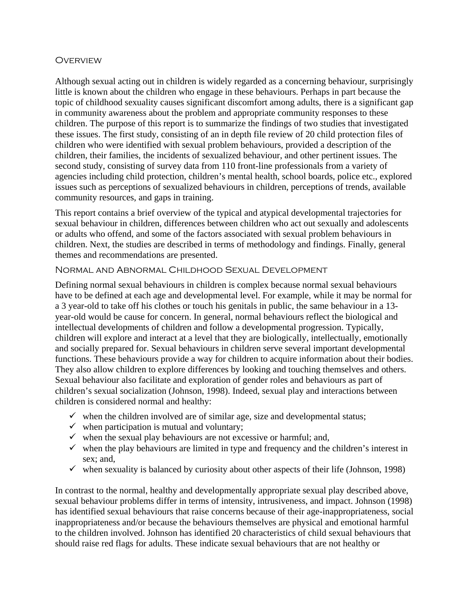#### **OVERVIEW**

Although sexual acting out in children is widely regarded as a concerning behaviour, surprisingly little is known about the children who engage in these behaviours. Perhaps in part because the topic of childhood sexuality causes significant discomfort among adults, there is a significant gap in community awareness about the problem and appropriate community responses to these children. The purpose of this report is to summarize the findings of two studies that investigated these issues. The first study, consisting of an in depth file review of 20 child protection files of children who were identified with sexual problem behaviours, provided a description of the children, their families, the incidents of sexualized behaviour, and other pertinent issues. The second study, consisting of survey data from 110 front-line professionals from a variety of agencies including child protection, children's mental health, school boards, police etc., explored issues such as perceptions of sexualized behaviours in children, perceptions of trends, available community resources, and gaps in training.

This report contains a brief overview of the typical and atypical developmental trajectories for sexual behaviour in children, differences between children who act out sexually and adolescents or adults who offend, and some of the factors associated with sexual problem behaviours in children. Next, the studies are described in terms of methodology and findings. Finally, general themes and recommendations are presented.

#### Normal and Abnormal Childhood Sexual Development

Defining normal sexual behaviours in children is complex because normal sexual behaviours have to be defined at each age and developmental level. For example, while it may be normal for a 3 year-old to take off his clothes or touch his genitals in public, the same behaviour in a 13 year-old would be cause for concern. In general, normal behaviours reflect the biological and intellectual developments of children and follow a developmental progression. Typically, children will explore and interact at a level that they are biologically, intellectually, emotionally and socially prepared for. Sexual behaviours in children serve several important developmental functions. These behaviours provide a way for children to acquire information about their bodies. They also allow children to explore differences by looking and touching themselves and others. Sexual behaviour also facilitate and exploration of gender roles and behaviours as part of children's sexual socialization (Johnson, 1998). Indeed, sexual play and interactions between children is considered normal and healthy:

- $\checkmark$  when the children involved are of similar age, size and developmental status;
- $\checkmark$  when participation is mutual and voluntary;
- $\checkmark$  when the sexual play behaviours are not excessive or harmful; and,
- $\checkmark$  when the play behaviours are limited in type and frequency and the children's interest in sex; and,
- $\checkmark$  when sexuality is balanced by curiosity about other aspects of their life (Johnson, 1998)

In contrast to the normal, healthy and developmentally appropriate sexual play described above, sexual behaviour problems differ in terms of intensity, intrusiveness, and impact. Johnson (1998) has identified sexual behaviours that raise concerns because of their age-inappropriateness, social inappropriateness and/or because the behaviours themselves are physical and emotional harmful to the children involved. Johnson has identified 20 characteristics of child sexual behaviours that should raise red flags for adults. These indicate sexual behaviours that are not healthy or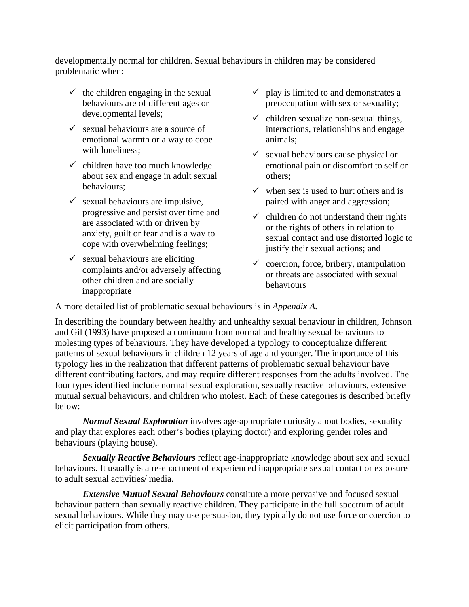developmentally normal for children. Sexual behaviours in children may be considered problematic when:

- $\checkmark$  the children engaging in the sexual behaviours are of different ages or developmental levels;
- $\checkmark$  sexual behaviours are a source of emotional warmth or a way to cope with loneliness;
- $\checkmark$  children have too much knowledge about sex and engage in adult sexual behaviours;
- $\checkmark$  sexual behaviours are impulsive, progressive and persist over time and are associated with or driven by anxiety, guilt or fear and is a way to cope with overwhelming feelings;
- $\checkmark$  sexual behaviours are eliciting complaints and/or adversely affecting other children and are socially inappropriate
- $\checkmark$  play is limited to and demonstrates a preoccupation with sex or sexuality;
- $\checkmark$  children sexualize non-sexual things, interactions, relationships and engage animals;
- $\checkmark$  sexual behaviours cause physical or emotional pain or discomfort to self or others;
- $\checkmark$  when sex is used to hurt others and is paired with anger and aggression;
- $\checkmark$  children do not understand their rights or the rights of others in relation to sexual contact and use distorted logic to justify their sexual actions; and
- $\checkmark$  coercion, force, bribery, manipulation or threats are associated with sexual behaviours

A more detailed list of problematic sexual behaviours is in *Appendix A.*

In describing the boundary between healthy and unhealthy sexual behaviour in children, Johnson and Gil (1993) have proposed a continuum from normal and healthy sexual behaviours to molesting types of behaviours. They have developed a typology to conceptualize different patterns of sexual behaviours in children 12 years of age and younger. The importance of this typology lies in the realization that different patterns of problematic sexual behaviour have different contributing factors, and may require different responses from the adults involved. The four types identified include normal sexual exploration, sexually reactive behaviours, extensive mutual sexual behaviours, and children who molest. Each of these categories is described briefly below:

*Normal Sexual Exploration* involves age-appropriate curiosity about bodies, sexuality and play that explores each other's bodies (playing doctor) and exploring gender roles and behaviours (playing house).

*Sexually Reactive Behaviours* reflect age-inappropriate knowledge about sex and sexual behaviours. It usually is a re-enactment of experienced inappropriate sexual contact or exposure to adult sexual activities/ media.

*Extensive Mutual Sexual Behaviours* constitute a more pervasive and focused sexual behaviour pattern than sexually reactive children. They participate in the full spectrum of adult sexual behaviours. While they may use persuasion, they typically do not use force or coercion to elicit participation from others.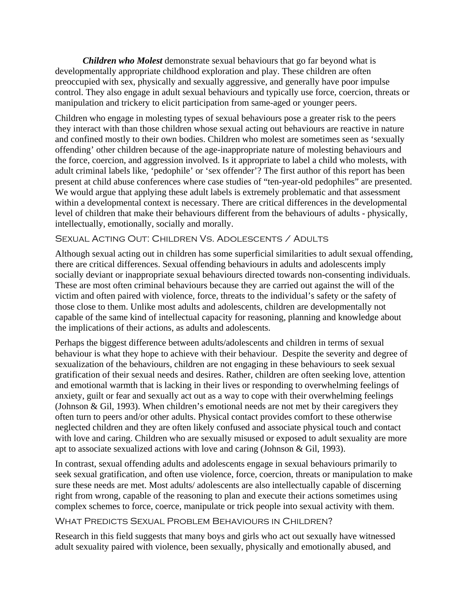*Children who Molest* demonstrate sexual behaviours that go far beyond what is developmentally appropriate childhood exploration and play. These children are often preoccupied with sex, physically and sexually aggressive, and generally have poor impulse control. They also engage in adult sexual behaviours and typically use force, coercion, threats or manipulation and trickery to elicit participation from same-aged or younger peers.

Children who engage in molesting types of sexual behaviours pose a greater risk to the peers they interact with than those children whose sexual acting out behaviours are reactive in nature and confined mostly to their own bodies. Children who molest are sometimes seen as 'sexually offending' other children because of the age-inappropriate nature of molesting behaviours and the force, coercion, and aggression involved. Is it appropriate to label a child who molests, with adult criminal labels like, 'pedophile' or 'sex offender'? The first author of this report has been present at child abuse conferences where case studies of "ten-year-old pedophiles" are presented. We would argue that applying these adult labels is extremely problematic and that assessment within a developmental context is necessary. There are critical differences in the developmental level of children that make their behaviours different from the behaviours of adults - physically, intellectually, emotionally, socially and morally.

## Sexual Acting Out: Children Vs. Adolescents / Adults

Although sexual acting out in children has some superficial similarities to adult sexual offending, there are critical differences. Sexual offending behaviours in adults and adolescents imply socially deviant or inappropriate sexual behaviours directed towards non-consenting individuals. These are most often criminal behaviours because they are carried out against the will of the victim and often paired with violence, force, threats to the individual's safety or the safety of those close to them. Unlike most adults and adolescents, children are developmentally not capable of the same kind of intellectual capacity for reasoning, planning and knowledge about the implications of their actions, as adults and adolescents.

Perhaps the biggest difference between adults/adolescents and children in terms of sexual behaviour is what they hope to achieve with their behaviour. Despite the severity and degree of sexualization of the behaviours, children are not engaging in these behaviours to seek sexual gratification of their sexual needs and desires. Rather, children are often seeking love, attention and emotional warmth that is lacking in their lives or responding to overwhelming feelings of anxiety, guilt or fear and sexually act out as a way to cope with their overwhelming feelings (Johnson & Gil, 1993). When children's emotional needs are not met by their caregivers they often turn to peers and/or other adults. Physical contact provides comfort to these otherwise neglected children and they are often likely confused and associate physical touch and contact with love and caring. Children who are sexually misused or exposed to adult sexuality are more apt to associate sexualized actions with love and caring (Johnson & Gil, 1993).

In contrast, sexual offending adults and adolescents engage in sexual behaviours primarily to seek sexual gratification, and often use violence, force, coercion, threats or manipulation to make sure these needs are met. Most adults/ adolescents are also intellectually capable of discerning right from wrong, capable of the reasoning to plan and execute their actions sometimes using complex schemes to force, coerce, manipulate or trick people into sexual activity with them.

#### What Predicts Sexual Problem Behaviours in Children?

Research in this field suggests that many boys and girls who act out sexually have witnessed adult sexuality paired with violence, been sexually, physically and emotionally abused, and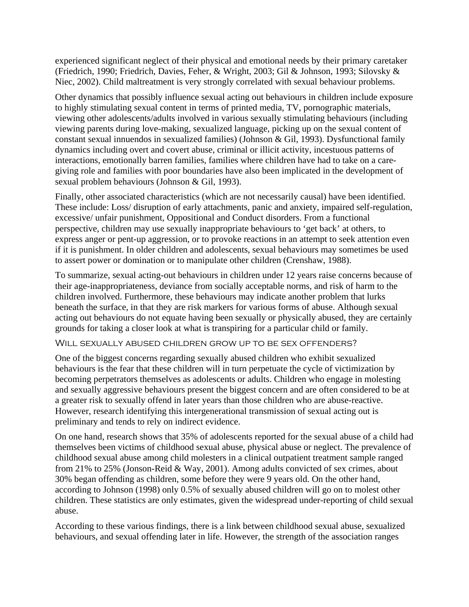experienced significant neglect of their physical and emotional needs by their primary caretaker (Friedrich, 1990; Friedrich, Davies, Feher, & Wright, 2003; Gil & Johnson, 1993; Silovsky & Niec, 2002). Child maltreatment is very strongly correlated with sexual behaviour problems.

Other dynamics that possibly influence sexual acting out behaviours in children include exposure to highly stimulating sexual content in terms of printed media, TV, pornographic materials, viewing other adolescents/adults involved in various sexually stimulating behaviours (including viewing parents during love-making, sexualized language, picking up on the sexual content of constant sexual innuendos in sexualized families) (Johnson & Gil, 1993). Dysfunctional family dynamics including overt and covert abuse, criminal or illicit activity, incestuous patterns of interactions, emotionally barren families, families where children have had to take on a caregiving role and families with poor boundaries have also been implicated in the development of sexual problem behaviours (Johnson & Gil, 1993).

Finally, other associated characteristics (which are not necessarily causal) have been identified. These include: Loss/ disruption of early attachments, panic and anxiety, impaired self-regulation, excessive/ unfair punishment, Oppositional and Conduct disorders. From a functional perspective, children may use sexually inappropriate behaviours to 'get back' at others, to express anger or pent-up aggression, or to provoke reactions in an attempt to seek attention even if it is punishment. In older children and adolescents, sexual behaviours may sometimes be used to assert power or domination or to manipulate other children (Crenshaw, 1988).

To summarize, sexual acting-out behaviours in children under 12 years raise concerns because of their age-inappropriateness, deviance from socially acceptable norms, and risk of harm to the children involved. Furthermore, these behaviours may indicate another problem that lurks beneath the surface, in that they are risk markers for various forms of abuse. Although sexual acting out behaviours do not equate having been sexually or physically abused, they are certainly grounds for taking a closer look at what is transpiring for a particular child or family.

#### Will sexually abused children grow up to be sex offenders?

One of the biggest concerns regarding sexually abused children who exhibit sexualized behaviours is the fear that these children will in turn perpetuate the cycle of victimization by becoming perpetrators themselves as adolescents or adults. Children who engage in molesting and sexually aggressive behaviours present the biggest concern and are often considered to be at a greater risk to sexually offend in later years than those children who are abuse-reactive. However, research identifying this intergenerational transmission of sexual acting out is preliminary and tends to rely on indirect evidence.

On one hand, research shows that 35% of adolescents reported for the sexual abuse of a child had themselves been victims of childhood sexual abuse, physical abuse or neglect. The prevalence of childhood sexual abuse among child molesters in a clinical outpatient treatment sample ranged from 21% to 25% (Jonson-Reid & Way, 2001). Among adults convicted of sex crimes, about 30% began offending as children, some before they were 9 years old. On the other hand, according to Johnson (1998) only 0.5% of sexually abused children will go on to molest other children. These statistics are only estimates, given the widespread under-reporting of child sexual abuse.

According to these various findings, there is a link between childhood sexual abuse, sexualized behaviours, and sexual offending later in life. However, the strength of the association ranges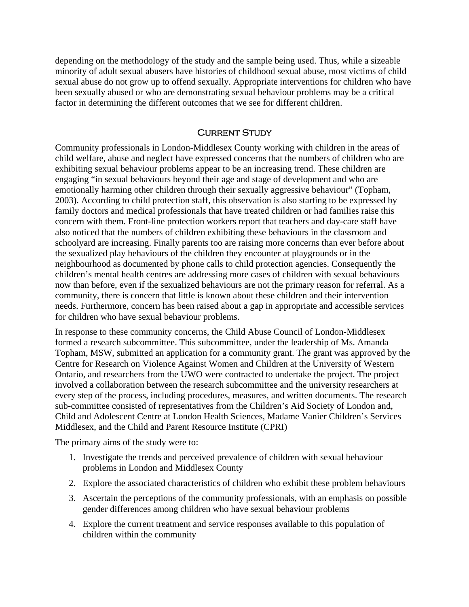depending on the methodology of the study and the sample being used. Thus, while a sizeable minority of adult sexual abusers have histories of childhood sexual abuse, most victims of child sexual abuse do not grow up to offend sexually. Appropriate interventions for children who have been sexually abused or who are demonstrating sexual behaviour problems may be a critical factor in determining the different outcomes that we see for different children.

#### **CURRENT STUDY**

Community professionals in London-Middlesex County working with children in the areas of child welfare, abuse and neglect have expressed concerns that the numbers of children who are exhibiting sexual behaviour problems appear to be an increasing trend. These children are engaging "in sexual behaviours beyond their age and stage of development and who are emotionally harming other children through their sexually aggressive behaviour" (Topham, 2003). According to child protection staff, this observation is also starting to be expressed by family doctors and medical professionals that have treated children or had families raise this concern with them. Front-line protection workers report that teachers and day-care staff have also noticed that the numbers of children exhibiting these behaviours in the classroom and schoolyard are increasing. Finally parents too are raising more concerns than ever before about the sexualized play behaviours of the children they encounter at playgrounds or in the neighbourhood as documented by phone calls to child protection agencies. Consequently the children's mental health centres are addressing more cases of children with sexual behaviours now than before, even if the sexualized behaviours are not the primary reason for referral. As a community, there is concern that little is known about these children and their intervention needs. Furthermore, concern has been raised about a gap in appropriate and accessible services for children who have sexual behaviour problems.

In response to these community concerns, the Child Abuse Council of London-Middlesex formed a research subcommittee. This subcommittee, under the leadership of Ms. Amanda Topham, MSW, submitted an application for a community grant. The grant was approved by the Centre for Research on Violence Against Women and Children at the University of Western Ontario, and researchers from the UWO were contracted to undertake the project. The project involved a collaboration between the research subcommittee and the university researchers at every step of the process, including procedures, measures, and written documents. The research sub-committee consisted of representatives from the Children's Aid Society of London and, Child and Adolescent Centre at London Health Sciences, Madame Vanier Children's Services Middlesex, and the Child and Parent Resource Institute (CPRI)

The primary aims of the study were to:

- 1. Investigate the trends and perceived prevalence of children with sexual behaviour problems in London and Middlesex County
- 2. Explore the associated characteristics of children who exhibit these problem behaviours
- 3. Ascertain the perceptions of the community professionals, with an emphasis on possible gender differences among children who have sexual behaviour problems
- 4. Explore the current treatment and service responses available to this population of children within the community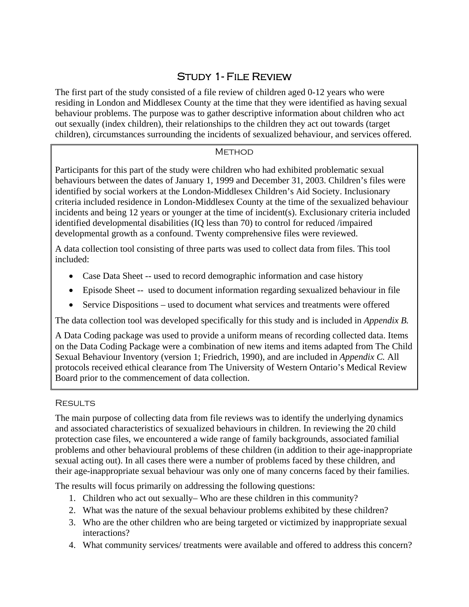# Study 1- File Review

The first part of the study consisted of a file review of children aged 0-12 years who were residing in London and Middlesex County at the time that they were identified as having sexual behaviour problems. The purpose was to gather descriptive information about children who act out sexually (index children), their relationships to the children they act out towards (target children), circumstances surrounding the incidents of sexualized behaviour, and services offered.

## **METHOD**

Participants for this part of the study were children who had exhibited problematic sexual behaviours between the dates of January 1, 1999 and December 31, 2003. Children's files were identified by social workers at the London-Middlesex Children's Aid Society. Inclusionary criteria included residence in London-Middlesex County at the time of the sexualized behaviour incidents and being 12 years or younger at the time of incident(s). Exclusionary criteria included identified developmental disabilities (IQ less than 70) to control for reduced /impaired developmental growth as a confound. Twenty comprehensive files were reviewed.

A data collection tool consisting of three parts was used to collect data from files. This tool included:

- Case Data Sheet -- used to record demographic information and case history
- Episode Sheet -- used to document information regarding sexualized behaviour in file
- Service Dispositions used to document what services and treatments were offered

The data collection tool was developed specifically for this study and is included in *Appendix B.*

A Data Coding package was used to provide a uniform means of recording collected data. Items on the Data Coding Package were a combination of new items and items adapted from The Child Sexual Behaviour Inventory (version 1; Friedrich, 1990), and are included in *Appendix C.* All protocols received ethical clearance from The University of Western Ontario's Medical Review Board prior to the commencement of data collection.

## **RESULTS**

The main purpose of collecting data from file reviews was to identify the underlying dynamics and associated characteristics of sexualized behaviours in children. In reviewing the 20 child protection case files, we encountered a wide range of family backgrounds, associated familial problems and other behavioural problems of these children (in addition to their age-inappropriate sexual acting out). In all cases there were a number of problems faced by these children, and their age-inappropriate sexual behaviour was only one of many concerns faced by their families.

The results will focus primarily on addressing the following questions:

- 1. Children who act out sexually– Who are these children in this community?
- 2. What was the nature of the sexual behaviour problems exhibited by these children?
- 3. Who are the other children who are being targeted or victimized by inappropriate sexual interactions?
- 4. What community services/ treatments were available and offered to address this concern?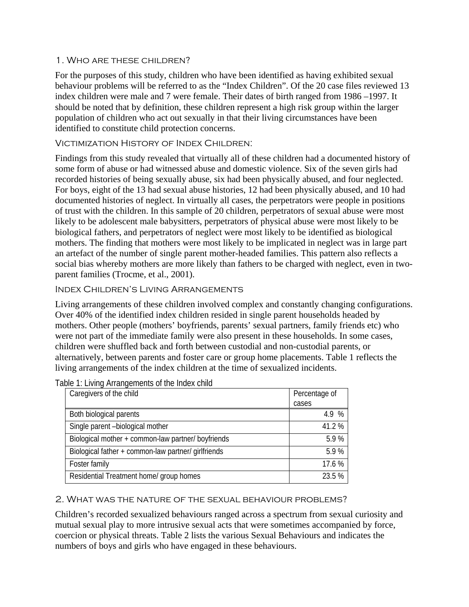#### 1. Who are these children?

For the purposes of this study, children who have been identified as having exhibited sexual behaviour problems will be referred to as the "Index Children". Of the 20 case files reviewed 13 index children were male and 7 were female. Their dates of birth ranged from 1986 –1997. It should be noted that by definition, these children represent a high risk group within the larger population of children who act out sexually in that their living circumstances have been identified to constitute child protection concerns.

#### Victimization History of Index Children:

Findings from this study revealed that virtually all of these children had a documented history of some form of abuse or had witnessed abuse and domestic violence. Six of the seven girls had recorded histories of being sexually abuse, six had been physically abused, and four neglected. For boys, eight of the 13 had sexual abuse histories, 12 had been physically abused, and 10 had documented histories of neglect. In virtually all cases, the perpetrators were people in positions of trust with the children. In this sample of 20 children, perpetrators of sexual abuse were most likely to be adolescent male babysitters, perpetrators of physical abuse were most likely to be biological fathers, and perpetrators of neglect were most likely to be identified as biological mothers. The finding that mothers were most likely to be implicated in neglect was in large part an artefact of the number of single parent mother-headed families. This pattern also reflects a social bias whereby mothers are more likely than fathers to be charged with neglect, even in twoparent families (Trocme, et al., 2001).

#### Index Children's Living Arrangements

Living arrangements of these children involved complex and constantly changing configurations. Over 40% of the identified index children resided in single parent households headed by mothers. Other people (mothers' boyfriends, parents' sexual partners, family friends etc) who were not part of the immediate family were also present in these households. In some cases, children were shuffled back and forth between custodial and non-custodial parents, or alternatively, between parents and foster care or group home placements. Table 1 reflects the living arrangements of the index children at the time of sexualized incidents.

| Caregivers of the child                             | Percentage of |
|-----------------------------------------------------|---------------|
|                                                     | cases         |
| Both biological parents                             | 4.9 %         |
| Single parent -biological mother                    | 41.2 %        |
| Biological mother + common-law partner/ boyfriends  | 5.9%          |
| Biological father + common-law partner/ girlfriends | 5.9%          |
| Foster family                                       | 17.6 %        |
| Residential Treatment home/ group homes             | 23.5 %        |

Table 1: Living Arrangements of the Index child

#### 2. What was the nature of the sexual behaviour problems?

Children's recorded sexualized behaviours ranged across a spectrum from sexual curiosity and mutual sexual play to more intrusive sexual acts that were sometimes accompanied by force, coercion or physical threats. Table 2 lists the various Sexual Behaviours and indicates the numbers of boys and girls who have engaged in these behaviours.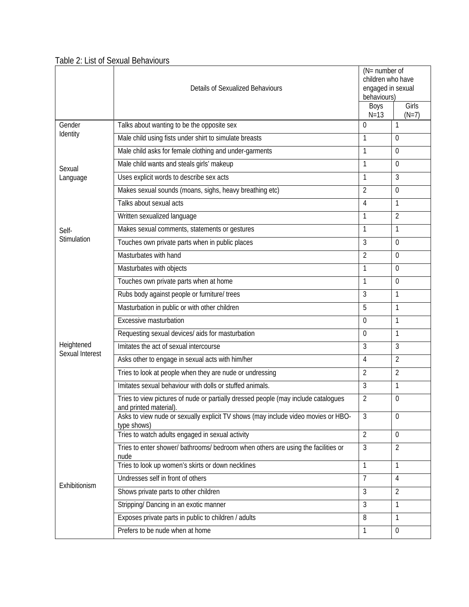## Table 2: List of Sexual Behaviours

|                               | <b>Details of Sexualized Behaviours</b>                                                                      | ( $N =$ number of<br>children who have<br>engaged in sexual<br>behaviours)<br>Boys | Girls                   |
|-------------------------------|--------------------------------------------------------------------------------------------------------------|------------------------------------------------------------------------------------|-------------------------|
| Gender                        | Talks about wanting to be the opposite sex                                                                   | $N = 13$<br>$\Omega$                                                               | $(N=7)$<br>$\mathbf{1}$ |
| Identity                      | Male child using fists under shirt to simulate breasts                                                       | 1                                                                                  | 0                       |
|                               | Male child asks for female clothing and under-garments                                                       | 1                                                                                  | $\overline{0}$          |
|                               | Male child wants and steals girls' makeup                                                                    | $\mathbf{1}$                                                                       | $\theta$                |
| Sexual                        | Uses explicit words to describe sex acts                                                                     | 1                                                                                  | 3                       |
| Language                      | Makes sexual sounds (moans, sighs, heavy breathing etc)                                                      | $\overline{2}$                                                                     | $\overline{0}$          |
|                               | Talks about sexual acts                                                                                      | $\overline{4}$                                                                     | $\mathbf{1}$            |
|                               |                                                                                                              | $\mathbf{1}$                                                                       |                         |
|                               | Written sexualized language                                                                                  |                                                                                    | $\overline{2}$          |
| Self-<br>Stimulation          | Makes sexual comments, statements or gestures                                                                | $\mathbf{1}$                                                                       | 1                       |
|                               | Touches own private parts when in public places                                                              | 3                                                                                  | $\theta$                |
|                               | Masturbates with hand                                                                                        | $\overline{2}$                                                                     | $\overline{0}$          |
|                               | Masturbates with objects                                                                                     | $\mathbf{1}$                                                                       | $\overline{0}$          |
|                               | Touches own private parts when at home                                                                       | $\mathbf{1}$                                                                       | 0                       |
|                               | Rubs body against people or furniture/ trees                                                                 | 3                                                                                  | $\mathbf{1}$            |
|                               | Masturbation in public or with other children                                                                | 5                                                                                  | 1                       |
|                               | Excessive masturbation                                                                                       | $\theta$                                                                           | 1                       |
|                               | Requesting sexual devices/ aids for masturbation                                                             | $\theta$                                                                           | 1                       |
| Heightened<br>Sexual Interest | Imitates the act of sexual intercourse                                                                       | 3                                                                                  | 3                       |
|                               | Asks other to engage in sexual acts with him/her                                                             | $\overline{4}$                                                                     | $\overline{2}$          |
|                               | Tries to look at people when they are nude or undressing                                                     | $\overline{2}$                                                                     | $\overline{2}$          |
|                               | Imitates sexual behaviour with dolls or stuffed animals.                                                     | 3                                                                                  | 1                       |
|                               | Tries to view pictures of nude or partially dressed people (may include catalogues<br>and printed material). | $\overline{2}$                                                                     | $\theta$                |
|                               | Asks to view nude or sexually explicit TV shows (may include video movies or HBO-<br>type shows)             | $\mathfrak{Z}$                                                                     | $\overline{0}$          |
|                               | Tries to watch adults engaged in sexual activity                                                             | $\overline{2}$                                                                     | $\mathbf 0$             |
|                               | Tries to enter shower/ bathrooms/ bedroom when others are using the facilities or<br>nude                    | $\overline{3}$                                                                     | $\overline{2}$          |
|                               | Tries to look up women's skirts or down necklines                                                            | $\mathbf{1}$                                                                       | $\mathbf{1}$            |
| Exhibitionism                 | Undresses self in front of others                                                                            | $\overline{7}$                                                                     | 4                       |
|                               | Shows private parts to other children                                                                        | $\mathfrak{Z}$                                                                     | $\overline{2}$          |
|                               | Stripping/ Dancing in an exotic manner                                                                       | $\mathfrak{Z}$                                                                     | 1                       |
|                               | Exposes private parts in public to children / adults                                                         | 8                                                                                  | 1                       |
|                               | Prefers to be nude when at home                                                                              | $\mathbf{1}$                                                                       | $\overline{0}$          |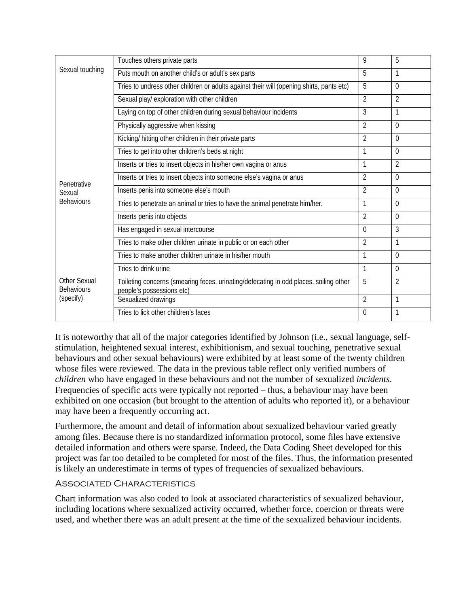|                                          | Touches others private parts                                                                                       | 9              | 5              |
|------------------------------------------|--------------------------------------------------------------------------------------------------------------------|----------------|----------------|
| Sexual touching                          | Puts mouth on another child's or adult's sex parts                                                                 | 5              | 1              |
|                                          | Tries to undress other children or adults against their will (opening shirts, pants etc)                           | 5              | $\Omega$       |
|                                          | Sexual play/ exploration with other children                                                                       | $\mathfrak{D}$ | $\mathfrak{D}$ |
|                                          | Laying on top of other children during sexual behaviour incidents                                                  | 3              | 1              |
|                                          | Physically aggressive when kissing                                                                                 | $\overline{2}$ | $\Omega$       |
|                                          | Kicking/ hitting other children in their private parts                                                             | $\mathfrak{D}$ | $\Omega$       |
|                                          | Tries to get into other children's beds at night                                                                   |                | 0              |
|                                          | Inserts or tries to insert objects in his/her own vagina or anus                                                   | 1              | $\overline{2}$ |
| Penetrative                              | Inserts or tries to insert objects into someone else's vagina or anus                                              | $\overline{2}$ | $\Omega$       |
| Sexual                                   | Inserts penis into someone else's mouth                                                                            | $\mathfrak{D}$ | $\Omega$       |
| <b>Behaviours</b>                        | Tries to penetrate an animal or tries to have the animal penetrate him/her.                                        | 1              | $\Omega$       |
|                                          | Inserts penis into objects                                                                                         | $\mathfrak{D}$ | $\Omega$       |
|                                          | Has engaged in sexual intercourse                                                                                  | $\Omega$       | 3              |
|                                          | Tries to make other children urinate in public or on each other                                                    | $\overline{2}$ | 1              |
|                                          | Tries to make another children urinate in his/her mouth                                                            |                | $\Omega$       |
|                                          | Tries to drink urine                                                                                               | 1              | $\Omega$       |
| <b>Other Sexual</b><br><b>Behaviours</b> | Toileting concerns (smearing feces, urinating/defecating in odd places, soiling other<br>people's possessions etc) | 5              | $\overline{2}$ |
| (specify)                                | Sexualized drawings                                                                                                | $\overline{2}$ | 1              |
|                                          | Tries to lick other children's faces                                                                               | $\Omega$       | 1              |

It is noteworthy that all of the major categories identified by Johnson (i.e., sexual language, selfstimulation, heightened sexual interest, exhibitionism, and sexual touching, penetrative sexual behaviours and other sexual behaviours) were exhibited by at least some of the twenty children whose files were reviewed. The data in the previous table reflect only verified numbers of *children* who have engaged in these behaviours and not the number of sexualized *incidents*. Frequencies of specific acts were typically not reported – thus, a behaviour may have been exhibited on one occasion (but brought to the attention of adults who reported it), or a behaviour may have been a frequently occurring act.

Furthermore, the amount and detail of information about sexualized behaviour varied greatly among files. Because there is no standardized information protocol, some files have extensive detailed information and others were sparse. Indeed, the Data Coding Sheet developed for this project was far too detailed to be completed for most of the files. Thus, the information presented is likely an underestimate in terms of types of frequencies of sexualized behaviours.

#### Associated Characteristics

Chart information was also coded to look at associated characteristics of sexualized behaviour, including locations where sexualized activity occurred, whether force, coercion or threats were used, and whether there was an adult present at the time of the sexualized behaviour incidents.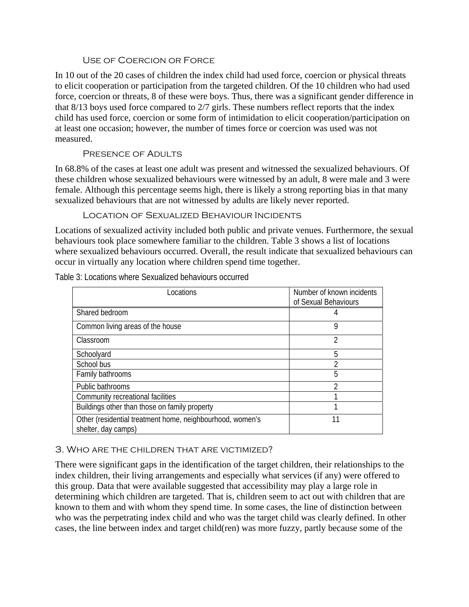#### Use of Coercion or Force

In 10 out of the 20 cases of children the index child had used force, coercion or physical threats to elicit cooperation or participation from the targeted children. Of the 10 children who had used force, coercion or threats, 8 of these were boys. Thus, there was a significant gender difference in that 8/13 boys used force compared to 2/7 girls. These numbers reflect reports that the index child has used force, coercion or some form of intimidation to elicit cooperation/participation on at least one occasion; however, the number of times force or coercion was used was not measured.

## Presence of Adults

In 68.8% of the cases at least one adult was present and witnessed the sexualized behaviours. Of these children whose sexualized behaviours were witnessed by an adult, 8 were male and 3 were female. Although this percentage seems high, there is likely a strong reporting bias in that many sexualized behaviours that are not witnessed by adults are likely never reported.

Location of Sexualized Behaviour Incidents

Locations of sexualized activity included both public and private venues. Furthermore, the sexual behaviours took place somewhere familiar to the children. Table 3 shows a list of locations where sexualized behaviours occurred. Overall, the result indicate that sexualized behaviours can occur in virtually any location where children spend time together.

Table 3: Locations where Sexualized behaviours occurred

| Locations                                                                        | Number of known incidents<br>of Sexual Behaviours |
|----------------------------------------------------------------------------------|---------------------------------------------------|
| Shared bedroom                                                                   |                                                   |
| Common living areas of the house                                                 | 9                                                 |
| Classroom                                                                        | 2                                                 |
| Schoolyard                                                                       | 5                                                 |
| School bus                                                                       |                                                   |
| Family bathrooms                                                                 | 5                                                 |
| Public bathrooms                                                                 | າ                                                 |
| Community recreational facilities                                                |                                                   |
| Buildings other than those on family property                                    |                                                   |
| Other (residential treatment home, neighbourhood, women's<br>shelter, day camps) | 11                                                |

#### 3. Who are the children that are victimized?

There were significant gaps in the identification of the target children, their relationships to the index children, their living arrangements and especially what services (if any) were offered to this group. Data that were available suggested that accessibility may play a large role in determining which children are targeted. That is, children seem to act out with children that are known to them and with whom they spend time. In some cases, the line of distinction between who was the perpetrating index child and who was the target child was clearly defined. In other cases, the line between index and target child(ren) was more fuzzy, partly because some of the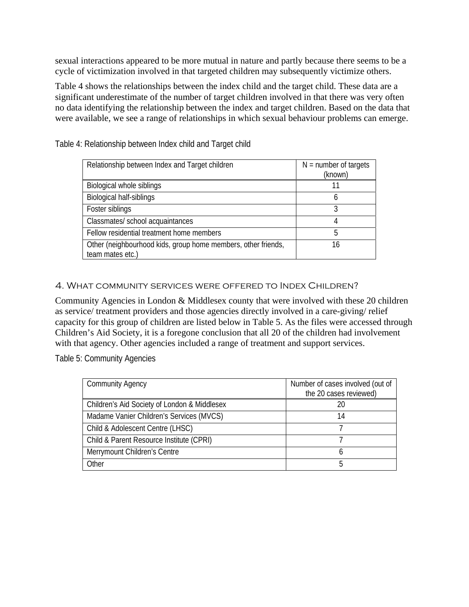sexual interactions appeared to be more mutual in nature and partly because there seems to be a cycle of victimization involved in that targeted children may subsequently victimize others.

Table 4 shows the relationships between the index child and the target child. These data are a significant underestimate of the number of target children involved in that there was very often no data identifying the relationship between the index and target children. Based on the data that were available, we see a range of relationships in which sexual behaviour problems can emerge.

| Relationship between Index and Target children                                    | $N =$ number of targets<br>(known) |
|-----------------------------------------------------------------------------------|------------------------------------|
| Biological whole siblings                                                         | 11                                 |
| Biological half-siblings                                                          | h                                  |
| Foster siblings                                                                   | ς                                  |
| Classmates/ school acquaintances                                                  |                                    |
| Fellow residential treatment home members                                         | 5                                  |
| Other (neighbourhood kids, group home members, other friends,<br>team mates etc.) | 16                                 |

Table 4: Relationship between Index child and Target child

#### 4. What community services were offered to Index Children?

Community Agencies in London & Middlesex county that were involved with these 20 children as service/ treatment providers and those agencies directly involved in a care-giving/ relief capacity for this group of children are listed below in Table 5. As the files were accessed through Children's Aid Society, it is a foregone conclusion that all 20 of the children had involvement with that agency. Other agencies included a range of treatment and support services.

Table 5: Community Agencies

| <b>Community Agency</b>                      | Number of cases involved (out of<br>the 20 cases reviewed) |
|----------------------------------------------|------------------------------------------------------------|
| Children's Aid Society of London & Middlesex |                                                            |
| Madame Vanier Children's Services (MVCS)     | 14                                                         |
| Child & Adolescent Centre (LHSC)             |                                                            |
| Child & Parent Resource Institute (CPRI)     |                                                            |
| Merrymount Children's Centre                 |                                                            |
| Other                                        |                                                            |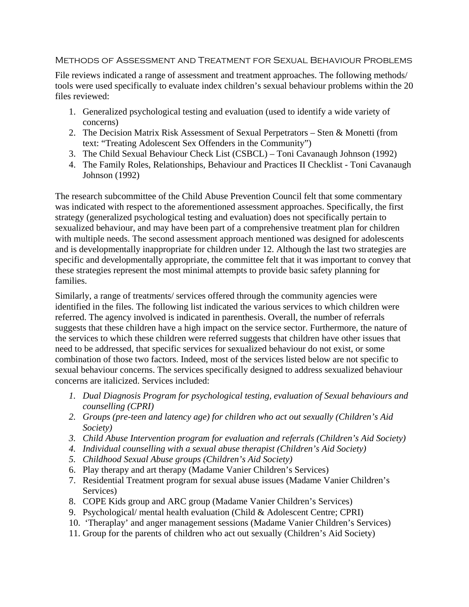#### Methods of Assessment and Treatment for Sexual Behaviour Problems

File reviews indicated a range of assessment and treatment approaches. The following methods/ tools were used specifically to evaluate index children's sexual behaviour problems within the 20 files reviewed:

- 1. Generalized psychological testing and evaluation (used to identify a wide variety of concerns)
- 2. The Decision Matrix Risk Assessment of Sexual Perpetrators Sten & Monetti (from text: "Treating Adolescent Sex Offenders in the Community")
- 3. The Child Sexual Behaviour Check List (CSBCL) Toni Cavanaugh Johnson (1992)
- 4. The Family Roles, Relationships, Behaviour and Practices II Checklist Toni Cavanaugh Johnson (1992)

The research subcommittee of the Child Abuse Prevention Council felt that some commentary was indicated with respect to the aforementioned assessment approaches. Specifically, the first strategy (generalized psychological testing and evaluation) does not specifically pertain to sexualized behaviour, and may have been part of a comprehensive treatment plan for children with multiple needs. The second assessment approach mentioned was designed for adolescents and is developmentally inappropriate for children under 12. Although the last two strategies are specific and developmentally appropriate, the committee felt that it was important to convey that these strategies represent the most minimal attempts to provide basic safety planning for families.

Similarly, a range of treatments/ services offered through the community agencies were identified in the files. The following list indicated the various services to which children were referred. The agency involved is indicated in parenthesis. Overall, the number of referrals suggests that these children have a high impact on the service sector. Furthermore, the nature of the services to which these children were referred suggests that children have other issues that need to be addressed, that specific services for sexualized behaviour do not exist, or some combination of those two factors. Indeed, most of the services listed below are not specific to sexual behaviour concerns. The services specifically designed to address sexualized behaviour concerns are italicized. Services included:

- *1. Dual Diagnosis Program for psychological testing, evaluation of Sexual behaviours and counselling (CPRI)*
- *2. Groups (pre-teen and latency age) for children who act out sexually (Children's Aid Society)*
- *3. Child Abuse Intervention program for evaluation and referrals (Children's Aid Society)*
- *4. Individual counselling with a sexual abuse therapist (Children's Aid Society)*
- *5. Childhood Sexual Abuse groups (Children's Aid Society)*
- 6. Play therapy and art therapy (Madame Vanier Children's Services)
- 7. Residential Treatment program for sexual abuse issues (Madame Vanier Children's Services)
- 8. COPE Kids group and ARC group (Madame Vanier Children's Services)
- 9. Psychological/ mental health evaluation (Child & Adolescent Centre; CPRI)
- 10. 'Theraplay' and anger management sessions (Madame Vanier Children's Services)
- 11. Group for the parents of children who act out sexually (Children's Aid Society)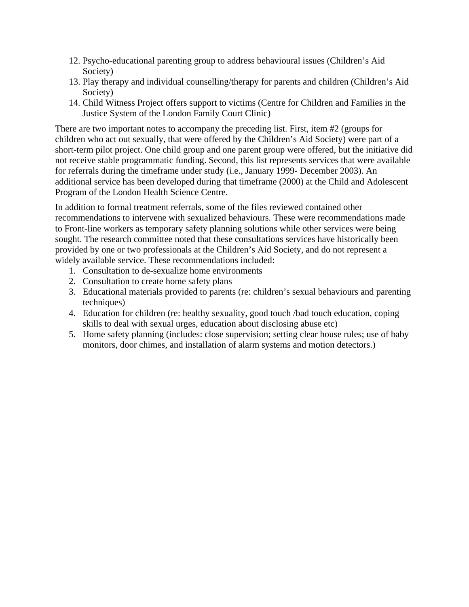- 12. Psycho-educational parenting group to address behavioural issues (Children's Aid Society)
- 13. Play therapy and individual counselling/therapy for parents and children (Children's Aid Society)
- 14. Child Witness Project offers support to victims (Centre for Children and Families in the Justice System of the London Family Court Clinic)

There are two important notes to accompany the preceding list. First, item #2 (groups for children who act out sexually, that were offered by the Children's Aid Society) were part of a short-term pilot project. One child group and one parent group were offered, but the initiative did not receive stable programmatic funding. Second, this list represents services that were available for referrals during the timeframe under study (i.e., January 1999- December 2003). An additional service has been developed during that timeframe (2000) at the Child and Adolescent Program of the London Health Science Centre.

In addition to formal treatment referrals, some of the files reviewed contained other recommendations to intervene with sexualized behaviours. These were recommendations made to Front-line workers as temporary safety planning solutions while other services were being sought. The research committee noted that these consultations services have historically been provided by one or two professionals at the Children's Aid Society, and do not represent a widely available service. These recommendations included:

- 1. Consultation to de-sexualize home environments
- 2. Consultation to create home safety plans
- 3. Educational materials provided to parents (re: children's sexual behaviours and parenting techniques)
- 4. Education for children (re: healthy sexuality, good touch /bad touch education, coping skills to deal with sexual urges, education about disclosing abuse etc)
- 5. Home safety planning (includes: close supervision; setting clear house rules; use of baby monitors, door chimes, and installation of alarm systems and motion detectors.)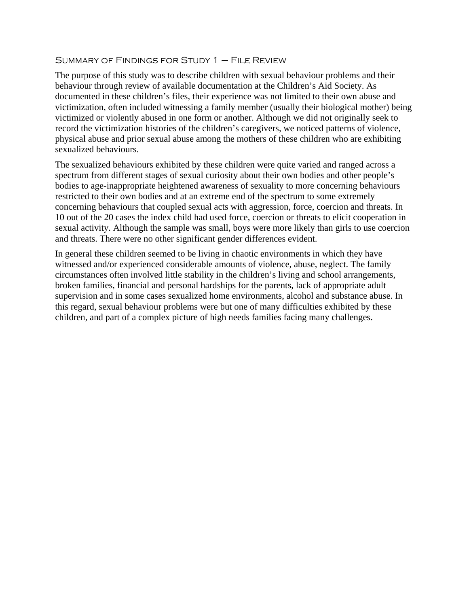#### SUMMARY OF FINDINGS FOR STUDY  $1 -$  FILE REVIEW

The purpose of this study was to describe children with sexual behaviour problems and their behaviour through review of available documentation at the Children's Aid Society. As documented in these children's files, their experience was not limited to their own abuse and victimization, often included witnessing a family member (usually their biological mother) being victimized or violently abused in one form or another. Although we did not originally seek to record the victimization histories of the children's caregivers, we noticed patterns of violence, physical abuse and prior sexual abuse among the mothers of these children who are exhibiting sexualized behaviours.

The sexualized behaviours exhibited by these children were quite varied and ranged across a spectrum from different stages of sexual curiosity about their own bodies and other people's bodies to age-inappropriate heightened awareness of sexuality to more concerning behaviours restricted to their own bodies and at an extreme end of the spectrum to some extremely concerning behaviours that coupled sexual acts with aggression, force, coercion and threats. In 10 out of the 20 cases the index child had used force, coercion or threats to elicit cooperation in sexual activity. Although the sample was small, boys were more likely than girls to use coercion and threats. There were no other significant gender differences evident.

In general these children seemed to be living in chaotic environments in which they have witnessed and/or experienced considerable amounts of violence, abuse, neglect. The family circumstances often involved little stability in the children's living and school arrangements, broken families, financial and personal hardships for the parents, lack of appropriate adult supervision and in some cases sexualized home environments, alcohol and substance abuse. In this regard, sexual behaviour problems were but one of many difficulties exhibited by these children, and part of a complex picture of high needs families facing many challenges.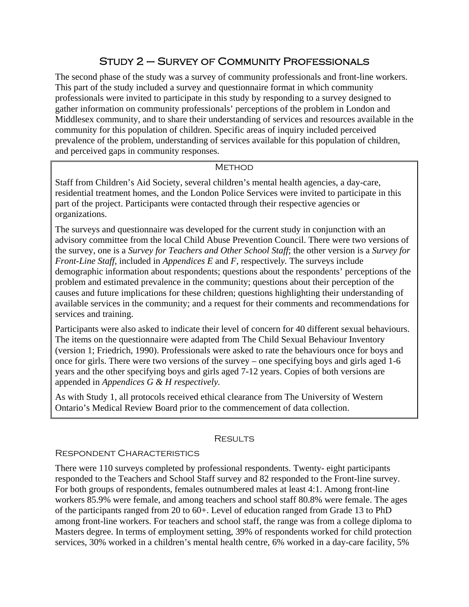# Study 2 – Survey of Community Professionals

The second phase of the study was a survey of community professionals and front-line workers. This part of the study included a survey and questionnaire format in which community professionals were invited to participate in this study by responding to a survey designed to gather information on community professionals' perceptions of the problem in London and Middlesex community, and to share their understanding of services and resources available in the community for this population of children. Specific areas of inquiry included perceived prevalence of the problem, understanding of services available for this population of children, and perceived gaps in community responses.

#### **METHOD**

Staff from Children's Aid Society, several children's mental health agencies, a day-care, residential treatment homes, and the London Police Services were invited to participate in this part of the project. Participants were contacted through their respective agencies or organizations.

The surveys and questionnaire was developed for the current study in conjunction with an advisory committee from the local Child Abuse Prevention Council. There were two versions of the survey, one is a *Survey for Teachers and Other School Staff*; the other version is a *Survey for Front-Line Staff,* included in *Appendices E* and *F,* respectivel*y.* The surveys include demographic information about respondents; questions about the respondents' perceptions of the problem and estimated prevalence in the community; questions about their perception of the causes and future implications for these children; questions highlighting their understanding of available services in the community; and a request for their comments and recommendations for services and training.

Participants were also asked to indicate their level of concern for 40 different sexual behaviours. The items on the questionnaire were adapted from The Child Sexual Behaviour Inventory (version 1; Friedrich, 1990). Professionals were asked to rate the behaviours once for boys and once for girls. There were two versions of the survey – one specifying boys and girls aged 1-6 years and the other specifying boys and girls aged 7-12 years. Copies of both versions are appended in *Appendices G & H respectively.*

As with Study 1, all protocols received ethical clearance from The University of Western Ontario's Medical Review Board prior to the commencement of data collection.

#### **RESULTS**

#### Respondent Characteristics

There were 110 surveys completed by professional respondents. Twenty- eight participants responded to the Teachers and School Staff survey and 82 responded to the Front-line survey. For both groups of respondents, females outnumbered males at least 4:1. Among front-line workers 85.9% were female, and among teachers and school staff 80.8% were female. The ages of the participants ranged from 20 to 60+. Level of education ranged from Grade 13 to PhD among front-line workers. For teachers and school staff, the range was from a college diploma to Masters degree. In terms of employment setting, 39% of respondents worked for child protection services, 30% worked in a children's mental health centre, 6% worked in a day-care facility, 5%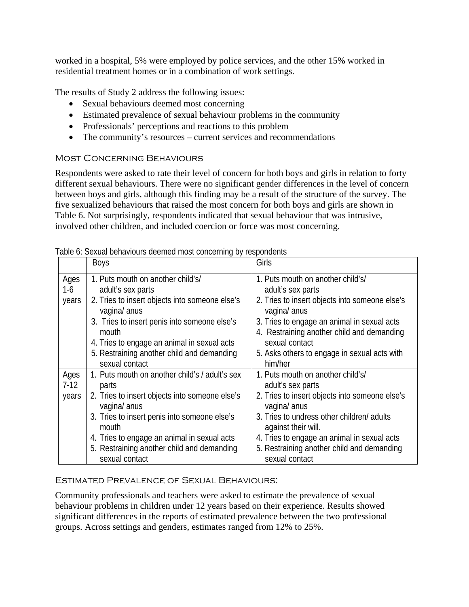worked in a hospital, 5% were employed by police services, and the other 15% worked in residential treatment homes or in a combination of work settings.

The results of Study 2 address the following issues:

- Sexual behaviours deemed most concerning
- Estimated prevalence of sexual behaviour problems in the community
- Professionals' perceptions and reactions to this problem
- The community's resources current services and recommendations

#### Most Concerning Behaviours

Respondents were asked to rate their level of concern for both boys and girls in relation to forty different sexual behaviours. There were no significant gender differences in the level of concern between boys and girls, although this finding may be a result of the structure of the survey. The five sexualized behaviours that raised the most concern for both boys and girls are shown in Table 6. Not surprisingly, respondents indicated that sexual behaviour that was intrusive, involved other children, and included coercion or force was most concerning.

|                         | Boys                                                                                                                                                                                                                                                                                              | Girls                                                                                                                                                                                                                                                                                                       |
|-------------------------|---------------------------------------------------------------------------------------------------------------------------------------------------------------------------------------------------------------------------------------------------------------------------------------------------|-------------------------------------------------------------------------------------------------------------------------------------------------------------------------------------------------------------------------------------------------------------------------------------------------------------|
| Ages<br>$1-6$<br>years  | 1. Puts mouth on another child's/<br>adult's sex parts<br>2. Tries to insert objects into someone else's<br>vagina/ anus<br>3. Tries to insert penis into someone else's<br>mouth<br>4. Tries to engage an animal in sexual acts<br>5. Restraining another child and demanding<br>sexual contact  | 1. Puts mouth on another child's/<br>adult's sex parts<br>2. Tries to insert objects into someone else's<br>vagina/ anus<br>3. Tries to engage an animal in sexual acts<br>4. Restraining another child and demanding<br>sexual contact<br>5. Asks others to engage in sexual acts with<br>him/her          |
| Ages<br>$7-12$<br>years | 1. Puts mouth on another child's / adult's sex<br>parts<br>2. Tries to insert objects into someone else's<br>vagina/ anus<br>3. Tries to insert penis into someone else's<br>mouth<br>4. Tries to engage an animal in sexual acts<br>5. Restraining another child and demanding<br>sexual contact | 1. Puts mouth on another child's/<br>adult's sex parts<br>2. Tries to insert objects into someone else's<br>vagina/ anus<br>3. Tries to undress other children/adults<br>against their will.<br>4. Tries to engage an animal in sexual acts<br>5. Restraining another child and demanding<br>sexual contact |

Table 6: Sexual behaviours deemed most concerning by respondents

## Estimated Prevalence of Sexual Behaviours:

Community professionals and teachers were asked to estimate the prevalence of sexual behaviour problems in children under 12 years based on their experience. Results showed significant differences in the reports of estimated prevalence between the two professional groups. Across settings and genders, estimates ranged from 12% to 25%.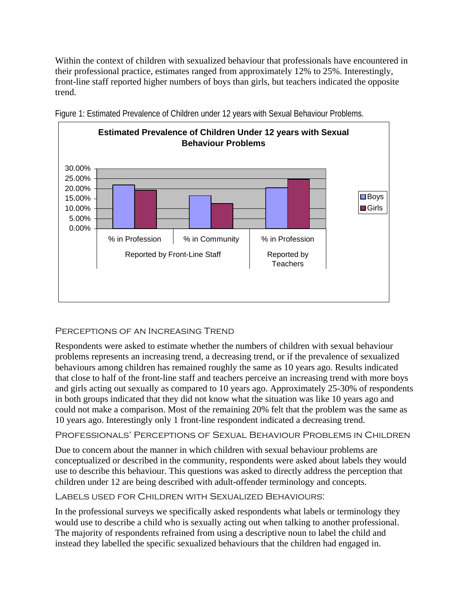Within the context of children with sexualized behaviour that professionals have encountered in their professional practice, estimates ranged from approximately 12% to 25%. Interestingly, front-line staff reported higher numbers of boys than girls, but teachers indicated the opposite trend.



Figure 1: Estimated Prevalence of Children under 12 years with Sexual Behaviour Problems.

# Perceptions of an Increasing Trend

Respondents were asked to estimate whether the numbers of children with sexual behaviour problems represents an increasing trend, a decreasing trend, or if the prevalence of sexualized behaviours among children has remained roughly the same as 10 years ago. Results indicated that close to half of the front-line staff and teachers perceive an increasing trend with more boys and girls acting out sexually as compared to 10 years ago. Approximately 25-30% of respondents in both groups indicated that they did not know what the situation was like 10 years ago and could not make a comparison. Most of the remaining 20% felt that the problem was the same as 10 years ago. Interestingly only 1 front-line respondent indicated a decreasing trend.

Professionals' Perceptions of Sexual Behaviour Problems in Children

Due to concern about the manner in which children with sexual behaviour problems are conceptualized or described in the community, respondents were asked about labels they would use to describe this behaviour. This questions was asked to directly address the perception that children under 12 are being described with adult-offender terminology and concepts.

Labels used for Children with Sexualized Behaviours:

In the professional surveys we specifically asked respondents what labels or terminology they would use to describe a child who is sexually acting out when talking to another professional. The majority of respondents refrained from using a descriptive noun to label the child and instead they labelled the specific sexualized behaviours that the children had engaged in.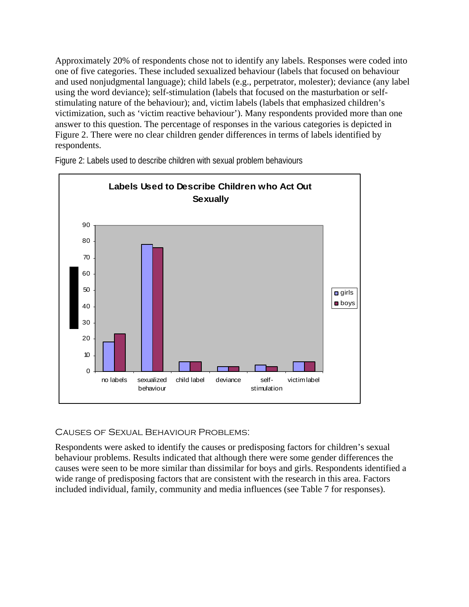Approximately 20% of respondents chose not to identify any labels. Responses were coded into one of five categories. These included sexualized behaviour (labels that focused on behaviour and used nonjudgmental language); child labels (e.g., perpetrator, molester); deviance (any label using the word deviance); self-stimulation (labels that focused on the masturbation or selfstimulating nature of the behaviour); and, victim labels (labels that emphasized children's victimization, such as 'victim reactive behaviour'). Many respondents provided more than one answer to this question. The percentage of responses in the various categories is depicted in Figure 2. There were no clear children gender differences in terms of labels identified by respondents.



Figure 2: Labels used to describe children with sexual problem behaviours

# Causes of Sexual Behaviour Problems:

Respondents were asked to identify the causes or predisposing factors for children's sexual behaviour problems. Results indicated that although there were some gender differences the causes were seen to be more similar than dissimilar for boys and girls. Respondents identified a wide range of predisposing factors that are consistent with the research in this area. Factors included individual, family, community and media influences (see Table 7 for responses).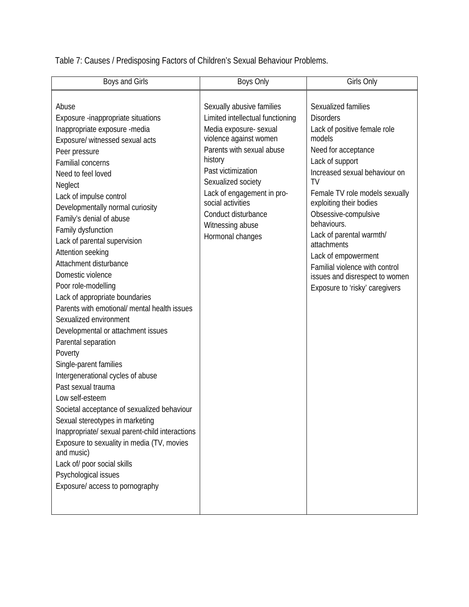Table 7: Causes / Predisposing Factors of Children's Sexual Behaviour Problems.

| Boys and Girls                                                                                                                                                                                                                                                                                                                                                                                                                                                                                                                                                                                                                                                                                                                                                                                                                                                                                                                                                                                                                   | Boys Only                                                                                                                                                                                                                                                                                                               | Girls Only                                                                                                                                                                                                                                                                                                                                                                                                                                     |
|----------------------------------------------------------------------------------------------------------------------------------------------------------------------------------------------------------------------------------------------------------------------------------------------------------------------------------------------------------------------------------------------------------------------------------------------------------------------------------------------------------------------------------------------------------------------------------------------------------------------------------------------------------------------------------------------------------------------------------------------------------------------------------------------------------------------------------------------------------------------------------------------------------------------------------------------------------------------------------------------------------------------------------|-------------------------------------------------------------------------------------------------------------------------------------------------------------------------------------------------------------------------------------------------------------------------------------------------------------------------|------------------------------------------------------------------------------------------------------------------------------------------------------------------------------------------------------------------------------------------------------------------------------------------------------------------------------------------------------------------------------------------------------------------------------------------------|
| Abuse<br>Exposure -inappropriate situations<br>Inappropriate exposure -media<br>Exposure/ witnessed sexual acts<br>Peer pressure<br><b>Familial concerns</b><br>Need to feel loved<br>Neglect<br>Lack of impulse control<br>Developmentally normal curiosity<br>Family's denial of abuse<br>Family dysfunction<br>Lack of parental supervision<br>Attention seeking<br>Attachment disturbance<br>Domestic violence<br>Poor role-modelling<br>Lack of appropriate boundaries<br>Parents with emotional/ mental health issues<br>Sexualized environment<br>Developmental or attachment issues<br>Parental separation<br>Poverty<br>Single-parent families<br>Intergenerational cycles of abuse<br>Past sexual trauma<br>Low self-esteem<br>Societal acceptance of sexualized behaviour<br>Sexual stereotypes in marketing<br>Inappropriate/ sexual parent-child interactions<br>Exposure to sexuality in media (TV, movies<br>and music)<br>Lack of/ poor social skills<br>Psychological issues<br>Exposure/ access to pornography | Sexually abusive families<br>Limited intellectual functioning<br>Media exposure- sexual<br>violence against women<br>Parents with sexual abuse<br>history<br>Past victimization<br>Sexualized society<br>Lack of engagement in pro-<br>social activities<br>Conduct disturbance<br>Witnessing abuse<br>Hormonal changes | Sexualized families<br><b>Disorders</b><br>Lack of positive female role<br>models<br>Need for acceptance<br>Lack of support<br>Increased sexual behaviour on<br>TV<br>Female TV role models sexually<br>exploiting their bodies<br>Obsessive-compulsive<br>behaviours.<br>Lack of parental warmth/<br>attachments<br>Lack of empowerment<br>Familial violence with control<br>issues and disrespect to women<br>Exposure to 'risky' caregivers |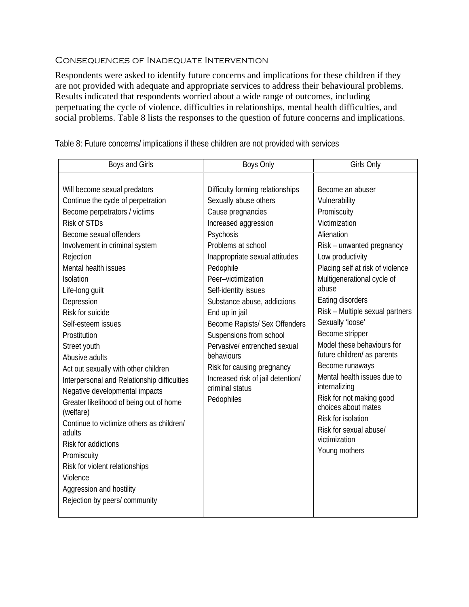#### Consequences of Inadequate Intervention

Respondents were asked to identify future concerns and implications for these children if they are not provided with adequate and appropriate services to address their behavioural problems. Results indicated that respondents worried about a wide range of outcomes, including perpetuating the cycle of violence, difficulties in relationships, mental health difficulties, and social problems. Table 8 lists the responses to the question of future concerns and implications.

| Boys and Girls                                                                                                                                                                                                                                                                                                                                                                                                                                                                                                                                                                                                                                                                                                                                           | <b>Boys Only</b>                                                                                                                                                                                                                                                                                                                                                                                                                                                                                      | Girls Only                                                                                                                                                                                                                                                                                                                                                                                                                                                                                                                                                                     |
|----------------------------------------------------------------------------------------------------------------------------------------------------------------------------------------------------------------------------------------------------------------------------------------------------------------------------------------------------------------------------------------------------------------------------------------------------------------------------------------------------------------------------------------------------------------------------------------------------------------------------------------------------------------------------------------------------------------------------------------------------------|-------------------------------------------------------------------------------------------------------------------------------------------------------------------------------------------------------------------------------------------------------------------------------------------------------------------------------------------------------------------------------------------------------------------------------------------------------------------------------------------------------|--------------------------------------------------------------------------------------------------------------------------------------------------------------------------------------------------------------------------------------------------------------------------------------------------------------------------------------------------------------------------------------------------------------------------------------------------------------------------------------------------------------------------------------------------------------------------------|
| Will become sexual predators<br>Continue the cycle of perpetration<br>Become perpetrators / victims<br>Risk of STDs<br>Become sexual offenders<br>Involvement in criminal system<br>Rejection<br>Mental health issues<br>Isolation<br>Life-long guilt<br>Depression<br>Risk for suicide<br>Self-esteem issues<br>Prostitution<br>Street youth<br>Abusive adults<br>Act out sexually with other children<br>Interpersonal and Relationship difficulties<br>Negative developmental impacts<br>Greater likelihood of being out of home<br>(welfare)<br>Continue to victimize others as children/<br>adults<br>Risk for addictions<br>Promiscuity<br>Risk for violent relationships<br>Violence<br>Aggression and hostility<br>Rejection by peers/ community | Difficulty forming relationships<br>Sexually abuse others<br>Cause pregnancies<br>Increased aggression<br>Psychosis<br>Problems at school<br>Inappropriate sexual attitudes<br>Pedophile<br>Peer-victimization<br>Self-identity issues<br>Substance abuse, addictions<br>End up in jail<br>Become Rapists/ Sex Offenders<br>Suspensions from school<br>Pervasive/ entrenched sexual<br>behaviours<br>Risk for causing pregnancy<br>Increased risk of jail detention/<br>criminal status<br>Pedophiles | Become an abuser<br>Vulnerability<br>Promiscuity<br>Victimization<br>Alienation<br>Risk - unwanted pregnancy<br>Low productivity<br>Placing self at risk of violence<br>Multigenerational cycle of<br>abuse<br>Eating disorders<br>Risk - Multiple sexual partners<br>Sexually 'loose'<br>Become stripper<br>Model these behaviours for<br>future children/ as parents<br>Become runaways<br>Mental health issues due to<br>internalizing<br>Risk for not making good<br>choices about mates<br>Risk for isolation<br>Risk for sexual abuse/<br>victimization<br>Young mothers |

Table 8: Future concerns/ implications if these children are not provided with services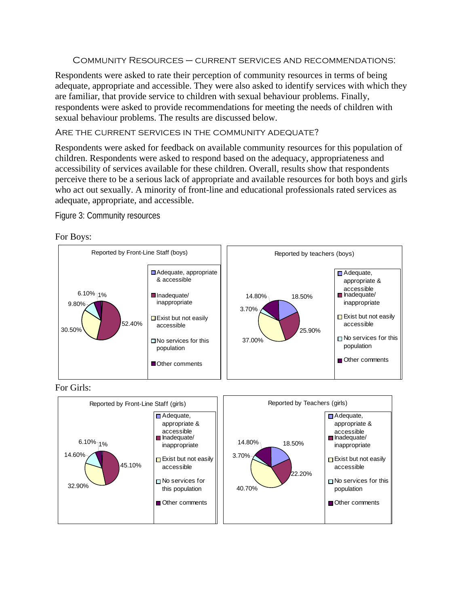Community Resources – current services and recommendations:

Respondents were asked to rate their perception of community resources in terms of being adequate, appropriate and accessible. They were also asked to identify services with which they are familiar, that provide service to children with sexual behaviour problems. Finally, respondents were asked to provide recommendations for meeting the needs of children with sexual behaviour problems. The results are discussed below.

#### ARE THE CURRENT SERVICES IN THE COMMUNITY ADEQUATE?

Respondents were asked for feedback on available community resources for this population of children. Respondents were asked to respond based on the adequacy, appropriateness and accessibility of services available for these children. Overall, results show that respondents perceive there to be a serious lack of appropriate and available resources for both boys and girls who act out sexually. A minority of front-line and educational professionals rated services as adequate, appropriate, and accessible.

Figure 3: Community resources

For Boys:





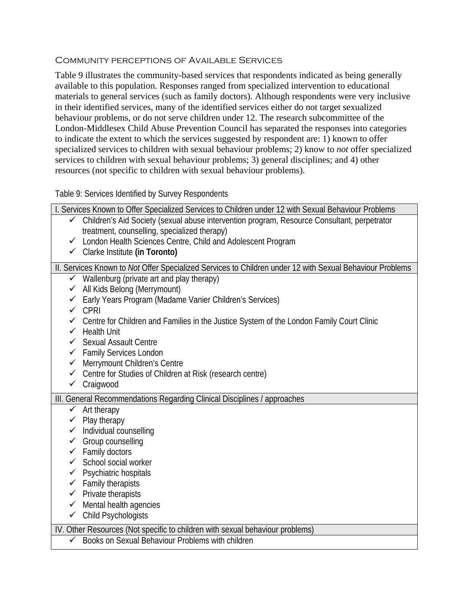#### Community perceptions of Available Services

Table 9 illustrates the community-based services that respondents indicated as being generally available to this population. Responses ranged from specialized intervention to educational materials to general services (such as family doctors). Although respondents were very inclusive in their identified services, many of the identified services either do not target sexualized behaviour problems, or do not serve children under 12. The research subcommittee of the London-Middlesex Child Abuse Prevention Council has separated the responses into categories to indicate the extent to which the services suggested by respondent are: 1) known to offer specialized services to children with sexual behaviour problems; 2) know to *not* offer specialized services to children with sexual behaviour problems; 3) general disciplines; and 4) other resources (not specific to children with sexual behaviour problems).

#### Table 9: Services Identified by Survey Respondents

| I. Services Known to Offer Specialized Services to Children under 12 with Sexual Behaviour Problems         |
|-------------------------------------------------------------------------------------------------------------|
| Children's Aid Society (sexual abuse intervention program, Resource Consultant, perpetrator<br>$\checkmark$ |
| treatment, counselling, specialized therapy)                                                                |
| ← London Health Sciences Centre, Child and Adolescent Program                                               |
| ← Clarke Institute (in Toronto)                                                                             |
| II. Services Known to Not Offer Specialized Services to Children under 12 with Sexual Behaviour Problems    |
| $\checkmark$ Wallenburg (private art and play therapy)                                                      |
| All Kids Belong (Merrymount)                                                                                |
| ← Early Years Program (Madame Vanier Children's Services)                                                   |
| CPRI                                                                                                        |
| Centre for Children and Families in the Justice System of the London Family Court Clinic                    |
| <b>Health Unit</b><br>✓                                                                                     |
| <b>Sexual Assault Centre</b><br>$\checkmark$                                                                |
| ← Family Services London                                                                                    |
| Merrymount Children's Centre<br>$\checkmark$                                                                |
| Centre for Studies of Children at Risk (research centre)<br>$\checkmark$<br>$\checkmark$                    |
| Craigwood                                                                                                   |
| III. General Recommendations Regarding Clinical Disciplines / approaches                                    |
| Art therapy<br>$\checkmark$                                                                                 |
| $\checkmark$ Play therapy                                                                                   |
| $\checkmark$ Individual counselling                                                                         |
| Group counselling                                                                                           |
| $\checkmark$ Family doctors                                                                                 |
| $\checkmark$ School social worker                                                                           |
| ✔ Psychiatric hospitals                                                                                     |
| $\checkmark$ Family therapists                                                                              |
| $\checkmark$ Private therapists                                                                             |
| $\checkmark$ Mental health agencies                                                                         |
| $\checkmark$ Child Psychologists                                                                            |
| IV. Other Resources (Not specific to children with sexual behaviour problems)                               |
| Books on Sexual Behaviour Problems with children                                                            |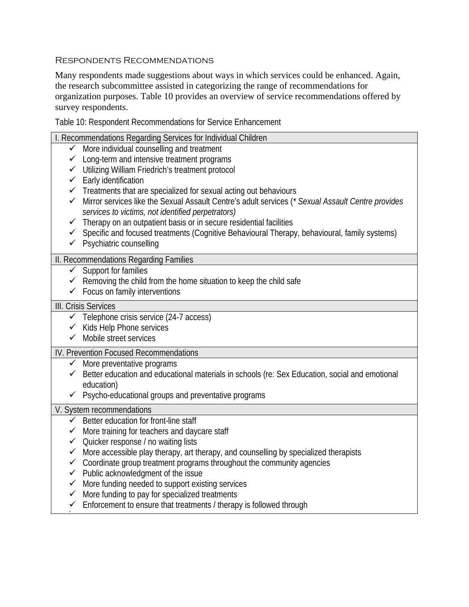#### Respondents Recommendations

Many respondents made suggestions about ways in which services could be enhanced. Again, the research subcommittee assisted in categorizing the range of recommendations for organization purposes. Table 10 provides an overview of service recommendations offered by survey respondents.

Table 10: Respondent Recommendations for Service Enhancement

|              | I. Recommendations Regarding Services for Individual Children                                                                                          |
|--------------|--------------------------------------------------------------------------------------------------------------------------------------------------------|
|              | $\checkmark$ More individual counselling and treatment                                                                                                 |
|              | $\checkmark$ Long-term and intensive treatment programs                                                                                                |
|              | ← Utilizing William Friedrich's treatment protocol                                                                                                     |
|              | $\checkmark$ Early identification                                                                                                                      |
|              | ✔ Treatments that are specialized for sexual acting out behaviours                                                                                     |
|              | Mirror services like the Sexual Assault Centre's adult services (* Sexual Assault Centre provides<br>services to victims, not identified perpetrators) |
|              | $\checkmark$ Therapy on an outpatient basis or in secure residential facilities                                                                        |
|              | ✔ Specific and focused treatments (Cognitive Behavioural Therapy, behavioural, family systems)                                                         |
|              | $\checkmark$ Psychiatric counselling                                                                                                                   |
|              | II. Recommendations Regarding Families                                                                                                                 |
|              | $\checkmark$ Support for families                                                                                                                      |
|              | $\checkmark$ Removing the child from the home situation to keep the child safe                                                                         |
|              | $\checkmark$ Focus on family interventions                                                                                                             |
|              | III. Crisis Services                                                                                                                                   |
|              | $\checkmark$ Telephone crisis service (24-7 access)                                                                                                    |
|              | $\checkmark$ Kids Help Phone services                                                                                                                  |
|              | $\checkmark$ Mobile street services                                                                                                                    |
|              | IV. Prevention Focused Recommendations                                                                                                                 |
|              | $\checkmark$ More preventative programs                                                                                                                |
|              | Gubbar Better education and educational materials in schools (re: Sex Education, social and emotional                                                  |
|              | education)                                                                                                                                             |
|              | $\checkmark$ Psycho-educational groups and preventative programs                                                                                       |
|              | V. System recommendations                                                                                                                              |
|              | $\checkmark$ Better education for front-line staff                                                                                                     |
|              | $\checkmark$ More training for teachers and daycare staff                                                                                              |
|              | $\checkmark$ Quicker response / no waiting lists                                                                                                       |
|              | $\checkmark$ More accessible play therapy, art therapy, and counselling by specialized therapists                                                      |
|              | ✓ Coordinate group treatment programs throughout the community agencies                                                                                |
|              | $\checkmark$ Public acknowledgment of the issue                                                                                                        |
| $\checkmark$ | More funding needed to support existing services                                                                                                       |
| $\checkmark$ | More funding to pay for specialized treatments                                                                                                         |
| $\checkmark$ | Enforcement to ensure that treatments / therapy is followed through                                                                                    |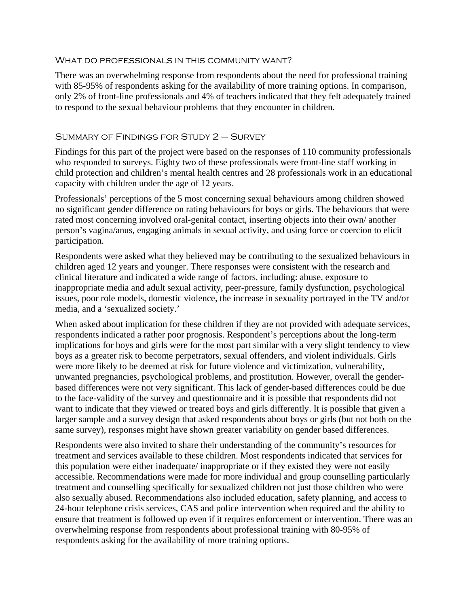#### WHAT DO PROFESSIONALS IN THIS COMMUNITY WANT?

There was an overwhelming response from respondents about the need for professional training with 85-95% of respondents asking for the availability of more training options. In comparison, only 2% of front-line professionals and 4% of teachers indicated that they felt adequately trained to respond to the sexual behaviour problems that they encounter in children.

#### Summary of Findings for Study 2 – Survey

Findings for this part of the project were based on the responses of 110 community professionals who responded to surveys. Eighty two of these professionals were front-line staff working in child protection and children's mental health centres and 28 professionals work in an educational capacity with children under the age of 12 years.

Professionals' perceptions of the 5 most concerning sexual behaviours among children showed no significant gender difference on rating behaviours for boys or girls. The behaviours that were rated most concerning involved oral-genital contact, inserting objects into their own/ another person's vagina/anus, engaging animals in sexual activity, and using force or coercion to elicit participation.

Respondents were asked what they believed may be contributing to the sexualized behaviours in children aged 12 years and younger. There responses were consistent with the research and clinical literature and indicated a wide range of factors, including: abuse, exposure to inappropriate media and adult sexual activity, peer-pressure, family dysfunction, psychological issues, poor role models, domestic violence, the increase in sexuality portrayed in the TV and/or media, and a 'sexualized society.'

When asked about implication for these children if they are not provided with adequate services, respondents indicated a rather poor prognosis. Respondent's perceptions about the long-term implications for boys and girls were for the most part similar with a very slight tendency to view boys as a greater risk to become perpetrators, sexual offenders, and violent individuals. Girls were more likely to be deemed at risk for future violence and victimization, vulnerability, unwanted pregnancies, psychological problems, and prostitution. However, overall the genderbased differences were not very significant. This lack of gender-based differences could be due to the face-validity of the survey and questionnaire and it is possible that respondents did not want to indicate that they viewed or treated boys and girls differently. It is possible that given a larger sample and a survey design that asked respondents about boys or girls (but not both on the same survey), responses might have shown greater variability on gender based differences.

Respondents were also invited to share their understanding of the community's resources for treatment and services available to these children. Most respondents indicated that services for this population were either inadequate/ inappropriate or if they existed they were not easily accessible. Recommendations were made for more individual and group counselling particularly treatment and counselling specifically for sexualized children not just those children who were also sexually abused. Recommendations also included education, safety planning, and access to 24-hour telephone crisis services, CAS and police intervention when required and the ability to ensure that treatment is followed up even if it requires enforcement or intervention. There was an overwhelming response from respondents about professional training with 80-95% of respondents asking for the availability of more training options.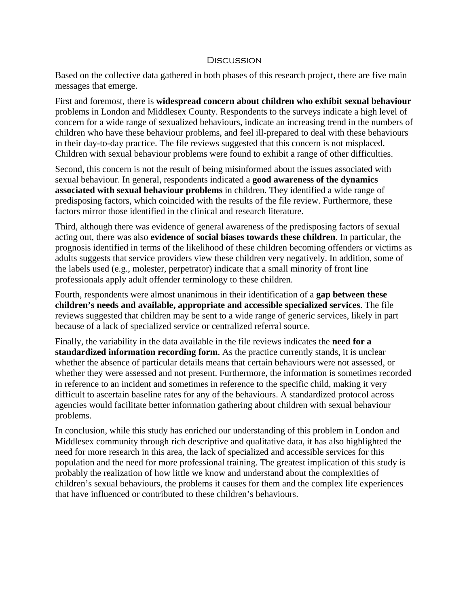#### **DISCUSSION**

Based on the collective data gathered in both phases of this research project, there are five main messages that emerge.

First and foremost, there is **widespread concern about children who exhibit sexual behaviour** problems in London and Middlesex County. Respondents to the surveys indicate a high level of concern for a wide range of sexualized behaviours, indicate an increasing trend in the numbers of children who have these behaviour problems, and feel ill-prepared to deal with these behaviours in their day-to-day practice. The file reviews suggested that this concern is not misplaced. Children with sexual behaviour problems were found to exhibit a range of other difficulties.

Second, this concern is not the result of being misinformed about the issues associated with sexual behaviour. In general, respondents indicated a **good awareness of the dynamics associated with sexual behaviour problems** in children. They identified a wide range of predisposing factors, which coincided with the results of the file review. Furthermore, these factors mirror those identified in the clinical and research literature.

Third, although there was evidence of general awareness of the predisposing factors of sexual acting out, there was also **evidence of social biases towards these children**. In particular, the prognosis identified in terms of the likelihood of these children becoming offenders or victims as adults suggests that service providers view these children very negatively. In addition, some of the labels used (e.g., molester, perpetrator) indicate that a small minority of front line professionals apply adult offender terminology to these children.

Fourth, respondents were almost unanimous in their identification of a **gap between these children's needs and available, appropriate and accessible specialized services**. The file reviews suggested that children may be sent to a wide range of generic services, likely in part because of a lack of specialized service or centralized referral source.

Finally, the variability in the data available in the file reviews indicates the **need for a standardized information recording form**. As the practice currently stands, it is unclear whether the absence of particular details means that certain behaviours were not assessed, or whether they were assessed and not present. Furthermore, the information is sometimes recorded in reference to an incident and sometimes in reference to the specific child, making it very difficult to ascertain baseline rates for any of the behaviours. A standardized protocol across agencies would facilitate better information gathering about children with sexual behaviour problems.

In conclusion, while this study has enriched our understanding of this problem in London and Middlesex community through rich descriptive and qualitative data, it has also highlighted the need for more research in this area, the lack of specialized and accessible services for this population and the need for more professional training. The greatest implication of this study is probably the realization of how little we know and understand about the complexities of children's sexual behaviours, the problems it causes for them and the complex life experiences that have influenced or contributed to these children's behaviours.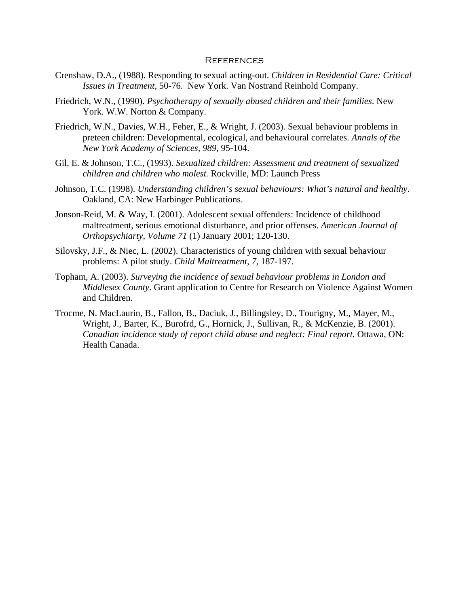#### **REFERENCES**

- Crenshaw, D.A., (1988). Responding to sexual acting-out. *Children in Residential Care: Critical Issues in Treatment,* 50-76. New York. Van Nostrand Reinhold Company.
- Friedrich, W.N., (1990). *Psychotherapy of sexually abused children and their families*. New York. W.W. Norton & Company.
- Friedrich, W.N., Davies, W.H., Feher, E., & Wright, J. (2003). Sexual behaviour problems in preteen children: Developmental, ecological, and behavioural correlates. *Annals of the New York Academy of Sciences, 989,* 95-104.
- Gil, E. & Johnson, T.C., (1993). *Sexualized children: Assessment and treatment of sexualized children and children who molest.* Rockville, MD: Launch Press
- Johnson, T.C. (1998). *Understanding children's sexual behaviours: What's natural and healthy*. Oakland, CA: New Harbinger Publications.
- Jonson-Reid, M. & Way, I. (2001). Adolescent sexual offenders: Incidence of childhood maltreatment, serious emotional disturbance, and prior offenses. *American Journal of Orthopsychiarty, Volume 71* (1) January 2001; 120-130.
- Silovsky, J.F., & Niec, L. (2002). Characteristics of young children with sexual behaviour problems: A pilot study. *Child Maltreatment, 7,* 187-197.
- Topham, A. (2003). *Surveying the incidence of sexual behaviour problems in London and Middlesex County*. Grant application to Centre for Research on Violence Against Women and Children.
- Trocme, N. MacLaurin, B., Fallon, B., Daciuk, J., Billingsley, D., Tourigny, M., Mayer, M., Wright, J., Barter, K., Burofrd, G., Hornick, J., Sullivan, R., & McKenzie, B. (2001). *Canadian incidence study of report child abuse and neglect: Final report. Ottawa, ON:* Health Canada.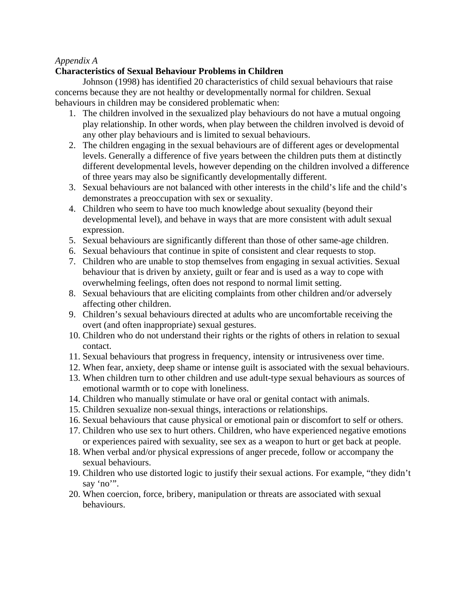#### *Appendix A*

## **Characteristics of Sexual Behaviour Problems in Children**

 Johnson (1998) has identified 20 characteristics of child sexual behaviours that raise concerns because they are not healthy or developmentally normal for children. Sexual behaviours in children may be considered problematic when:

- 1. The children involved in the sexualized play behaviours do not have a mutual ongoing play relationship. In other words, when play between the children involved is devoid of any other play behaviours and is limited to sexual behaviours.
- 2. The children engaging in the sexual behaviours are of different ages or developmental levels. Generally a difference of five years between the children puts them at distinctly different developmental levels, however depending on the children involved a difference of three years may also be significantly developmentally different.
- 3. Sexual behaviours are not balanced with other interests in the child's life and the child's demonstrates a preoccupation with sex or sexuality.
- 4. Children who seem to have too much knowledge about sexuality (beyond their developmental level), and behave in ways that are more consistent with adult sexual expression.
- 5. Sexual behaviours are significantly different than those of other same-age children.
- 6. Sexual behaviours that continue in spite of consistent and clear requests to stop.
- 7. Children who are unable to stop themselves from engaging in sexual activities. Sexual behaviour that is driven by anxiety, guilt or fear and is used as a way to cope with overwhelming feelings, often does not respond to normal limit setting.
- 8. Sexual behaviours that are eliciting complaints from other children and/or adversely affecting other children.
- 9. Children's sexual behaviours directed at adults who are uncomfortable receiving the overt (and often inappropriate) sexual gestures.
- 10. Children who do not understand their rights or the rights of others in relation to sexual contact.
- 11. Sexual behaviours that progress in frequency, intensity or intrusiveness over time.
- 12. When fear, anxiety, deep shame or intense guilt is associated with the sexual behaviours.
- 13. When children turn to other children and use adult-type sexual behaviours as sources of emotional warmth or to cope with loneliness.
- 14. Children who manually stimulate or have oral or genital contact with animals.
- 15. Children sexualize non-sexual things, interactions or relationships.
- 16. Sexual behaviours that cause physical or emotional pain or discomfort to self or others.
- 17. Children who use sex to hurt others. Children, who have experienced negative emotions or experiences paired with sexuality, see sex as a weapon to hurt or get back at people.
- 18. When verbal and/or physical expressions of anger precede, follow or accompany the sexual behaviours.
- 19. Children who use distorted logic to justify their sexual actions. For example, "they didn't say 'no'".
- 20. When coercion, force, bribery, manipulation or threats are associated with sexual behaviours.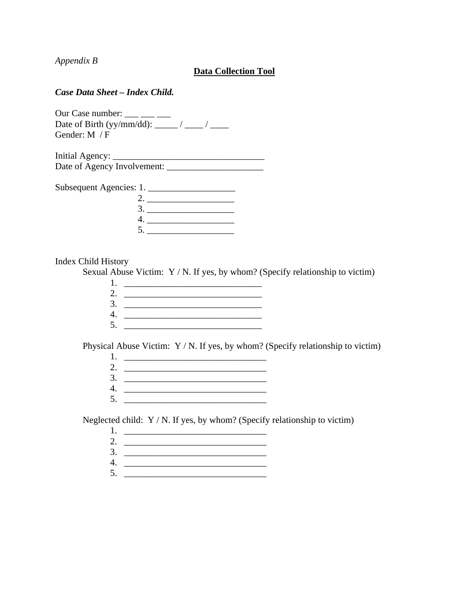*Appendix B* 

#### **Data Collection Tool**

#### *Case Data Sheet – Index Child.*

| Our Case number:                          |  |
|-------------------------------------------|--|
| Date of Birth (yy/mm/dd): $\frac{\ }{\ }$ |  |
| Gender: $M / F$                           |  |

| Initial Agency:             |  |
|-----------------------------|--|
| Date of Agency Involvement: |  |

| Subsequent Agencies: 1. |  |
|-------------------------|--|
|                         |  |
|                         |  |
|                         |  |
|                         |  |

#### Index Child History

Sexual Abuse Victim: Y / N. If yes, by whom? (Specify relationship to victim)

Physical Abuse Victim: Y / N. If yes, by whom? (Specify relationship to victim)

Neglected child: Y / N. If yes, by whom? (Specify relationship to victim)

- 1. \_\_\_\_\_\_\_\_\_\_\_\_\_\_\_\_\_\_\_\_\_\_\_\_\_\_\_\_\_\_\_ 2. \_\_\_\_\_\_\_\_\_\_\_\_\_\_\_\_\_\_\_\_\_\_\_\_\_\_\_\_\_\_\_
- 3. \_\_\_\_\_\_\_\_\_\_\_\_\_\_\_\_\_\_\_\_\_\_\_\_\_\_\_\_\_\_\_
- 4. \_\_\_\_\_\_\_\_\_\_\_\_\_\_\_\_\_\_\_\_\_\_\_\_\_\_\_\_\_\_\_  $5.$   $\qquad \qquad \qquad$ 
	-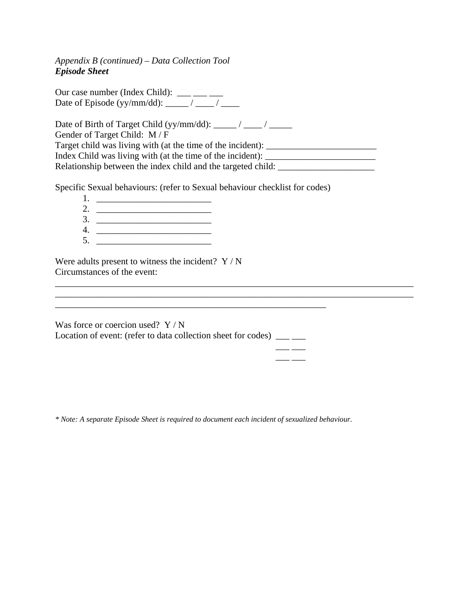*Appendix B (continued) – Data Collection Tool Episode Sheet* 

Our case number (Index Child):  $\frac{1}{\cdot}$  \_\_\_ \_\_\_ Date of Episode (yy/mm/dd): \_\_\_\_\_ / \_\_\_\_ / \_\_\_\_

Date of Birth of Target Child (yy/mm/dd): \_\_\_\_\_ / \_\_\_\_ / \_\_\_\_\_ Gender of Target Child: M / F Target child was living with (at the time of the incident): \_\_\_\_\_\_\_\_\_\_\_\_\_\_\_\_\_\_\_\_ Index Child was living with (at the time of the incident): Relationship between the index child and the targeted child: \_\_\_\_\_\_\_\_\_\_\_\_\_\_\_\_\_\_\_\_

\_\_\_\_\_\_\_\_\_\_\_\_\_\_\_\_\_\_\_\_\_\_\_\_\_\_\_\_\_\_\_\_\_\_\_\_\_\_\_\_\_\_\_\_\_\_\_\_\_\_\_\_\_\_\_\_\_\_\_\_\_\_\_\_\_\_\_\_\_\_\_\_\_\_\_\_\_\_

Specific Sexual behaviours: (refer to Sexual behaviour checklist for codes)

1. \_\_\_\_\_\_\_\_\_\_\_\_\_\_\_\_\_\_\_\_\_\_\_\_\_ 2. \_\_\_\_\_\_\_\_\_\_\_\_\_\_\_\_\_\_\_\_\_\_\_\_\_ 3. \_\_\_\_\_\_\_\_\_\_\_\_\_\_\_\_\_\_\_\_\_\_\_\_\_ 4. \_\_\_\_\_\_\_\_\_\_\_\_\_\_\_\_\_\_\_\_\_\_\_\_\_ 5. \_\_\_\_\_\_\_\_\_\_\_\_\_\_\_\_\_\_\_\_\_\_\_\_\_

Were adults present to witness the incident?  $Y/N$ Circumstances of the event:

| Was force or coercion used? $Y/N$                                  |  |
|--------------------------------------------------------------------|--|
| Location of event: (refer to data collection sheet for codes) ____ |  |
|                                                                    |  |

\_\_\_ \_\_\_

\_\_\_\_\_\_\_\_\_\_\_\_\_\_\_\_\_\_\_\_\_\_\_\_\_\_\_\_\_\_\_\_\_\_\_\_\_\_\_\_\_\_\_\_\_\_\_\_\_\_\_\_\_\_\_\_\_\_\_

*\* Note: A separate Episode Sheet is required to document each incident of sexualized behaviour.*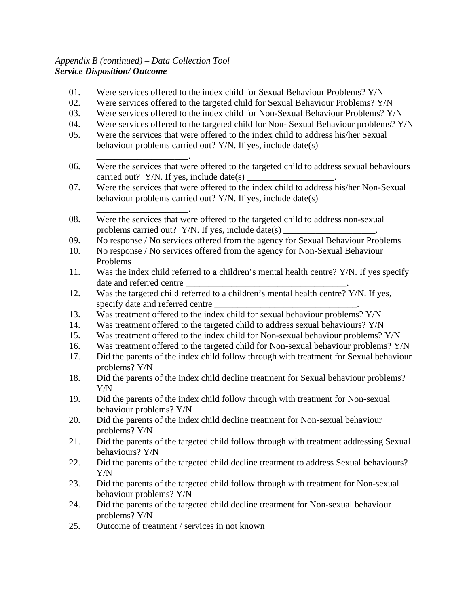## *Appendix B (continued) – Data Collection Tool Service Disposition/ Outcome*

- 01. Were services offered to the index child for Sexual Behaviour Problems? Y/N
- 02. Were services offered to the targeted child for Sexual Behaviour Problems? Y/N
- 03. Were services offered to the index child for Non-Sexual Behaviour Problems? Y/N
- 04. Were services offered to the targeted child for Non- Sexual Behaviour problems? Y/N
- 05. Were the services that were offered to the index child to address his/her Sexual behaviour problems carried out? Y/N. If yes, include date(s)
- \_\_\_\_\_\_\_\_\_\_\_\_\_\_\_\_\_\_\_\_. 06. Were the services that were offered to the targeted child to address sexual behaviours carried out? Y/N. If yes, include date(s)  $\frac{1}{\sqrt{2\pi}}$
- 07. Were the services that were offered to the index child to address his/her Non-Sexual behaviour problems carried out? Y/N. If yes, include date(s)
- \_\_\_\_\_\_\_\_\_\_\_\_\_\_\_\_\_\_\_\_. 08. Were the services that were offered to the targeted child to address non-sexual problems carried out? Y/N. If yes, include date(s) \_\_\_\_\_\_\_\_\_\_\_\_\_\_\_\_\_\_\_\_\_\_\_\_\_\_\_\_\_\_
- 09. No response / No services offered from the agency for Sexual Behaviour Problems
- 10. No response / No services offered from the agency for Non-Sexual Behaviour Problems
- 11. Was the index child referred to a children's mental health centre? Y/N. If yes specify date and referred centre
- 12. Was the targeted child referred to a children's mental health centre? Y/N. If yes, specify date and referred centre
- 13. Was treatment offered to the index child for sexual behaviour problems? Y/N
- 14. Was treatment offered to the targeted child to address sexual behaviours? Y/N
- 15. Was treatment offered to the index child for Non-sexual behaviour problems? Y/N
- 16. Was treatment offered to the targeted child for Non-sexual behaviour problems? Y/N
- 17. Did the parents of the index child follow through with treatment for Sexual behaviour problems? Y/N
- 18. Did the parents of the index child decline treatment for Sexual behaviour problems? Y/N
- 19. Did the parents of the index child follow through with treatment for Non-sexual behaviour problems? Y/N
- 20. Did the parents of the index child decline treatment for Non-sexual behaviour problems? Y/N
- 21. Did the parents of the targeted child follow through with treatment addressing Sexual behaviours? Y/N
- 22. Did the parents of the targeted child decline treatment to address Sexual behaviours? Y/N
- 23. Did the parents of the targeted child follow through with treatment for Non-sexual behaviour problems? Y/N
- 24. Did the parents of the targeted child decline treatment for Non-sexual behaviour problems? Y/N
- 25. Outcome of treatment / services in not known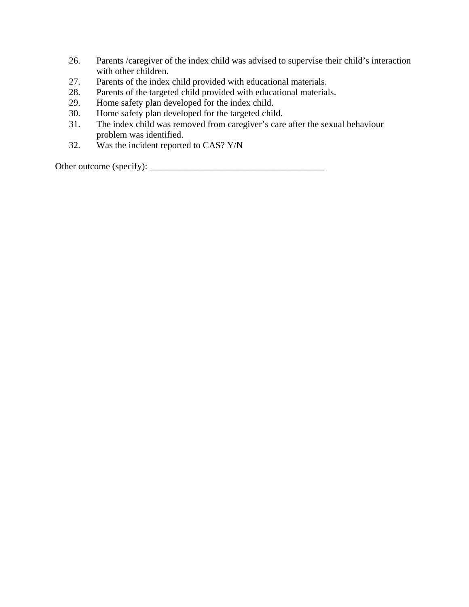- 26. Parents /caregiver of the index child was advised to supervise their child's interaction with other children.
- 27. Parents of the index child provided with educational materials.
- 28. Parents of the targeted child provided with educational materials.
- 29. Home safety plan developed for the index child.
- 30. Home safety plan developed for the targeted child.
- 31. The index child was removed from caregiver's care after the sexual behaviour problem was identified.
- 32. Was the incident reported to CAS? Y/N

Other outcome (specify): \_\_\_\_\_\_\_\_\_\_\_\_\_\_\_\_\_\_\_\_\_\_\_\_\_\_\_\_\_\_\_\_\_\_\_\_\_\_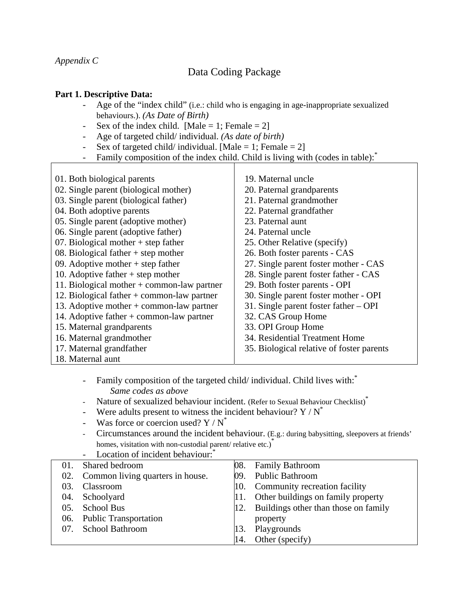*Appendix C* 

# Data Coding Package

#### **Part 1. Descriptive Data:**

- Age of the "index child" (i.e.: child who is engaging in age-inappropriate sexualized behaviours.). *(As Date of Birth)*
- Sex of the index child. [Male = 1; Female = 2]
- Age of targeted child/ individual. *(As date of birth)*
- Sex of targeted child/ individual. [Male = 1; Female = 2]
- Family composition of the index child. Child is living with (codes in table):

| 01. Both biological parents                  | 19. Maternal uncle                        |
|----------------------------------------------|-------------------------------------------|
| 02. Single parent (biological mother)        | 20. Paternal grandparents                 |
| 03. Single parent (biological father)        | 21. Paternal grandmother                  |
| 04. Both adoptive parents                    | 22. Paternal grandfather                  |
| 05. Single parent (adoptive mother)          | 23. Paternal aunt                         |
| 06. Single parent (adoptive father)          | 24. Paternal uncle                        |
| 07. Biological mother $+$ step father        | 25. Other Relative (specify)              |
| 08. Biological father $+$ step mother        | 26. Both foster parents - CAS             |
| 09. Adoptive mother $+$ step father          | 27. Single parent foster mother - CAS     |
| 10. Adoptive father $+$ step mother          | 28. Single parent foster father - CAS     |
| 11. Biological mother $+$ common-law partner | 29. Both foster parents - OPI             |
| 12. Biological father $+$ common-law partner | 30. Single parent foster mother - OPI     |
| 13. Adoptive mother $+$ common-law partner   | 31. Single parent foster father $-$ OPI   |
| 14. Adoptive father $+$ common-law partner   | 32. CAS Group Home                        |
| 15. Maternal grandparents                    | 33. OPI Group Home                        |
| 16. Maternal grandmother                     | 34. Residential Treatment Home            |
| 17. Maternal grandfather                     | 35. Biological relative of foster parents |
| 18. Maternal aunt                            |                                           |

- Family composition of the targeted child/ individual. Child lives with: *Same codes as above* 

- Nature of sexualized behaviour incident. (Refer to Sexual Behaviour Checklist)<sup>\*</sup>
- Were adults present to witness the incident behaviour?  $Y / N^*$
- Was force or coercion used?  $Y/N^*$
- Circumstances around the incident behaviour. (E.g.: during babysitting, sleepovers at friends' homes, visitation with non-custodial parent/ relative etc.)<sup>\*</sup> Location of incident behaviour:<sup>\*</sup>

|         | LOCALION OF HICKEN DENAVIOUL.        |     |                                      |
|---------|--------------------------------------|-----|--------------------------------------|
| 01.     | Shared bedroom                       | 08. | <b>Family Bathroom</b>               |
|         | 02. Common living quarters in house. | 09. | <b>Public Bathroom</b>               |
| 03.     | Classroom                            | 10. | Community recreation facility        |
| 04.     | Schoolyard                           | 11. | Other buildings on family property   |
| $0.5$ . | <b>School Bus</b>                    | 12. | Buildings other than those on family |
|         | 06. Public Transportation            |     | property                             |
|         | 07. School Bathroom                  | 13. | Playgrounds                          |
|         |                                      | 14. | Other (specify)                      |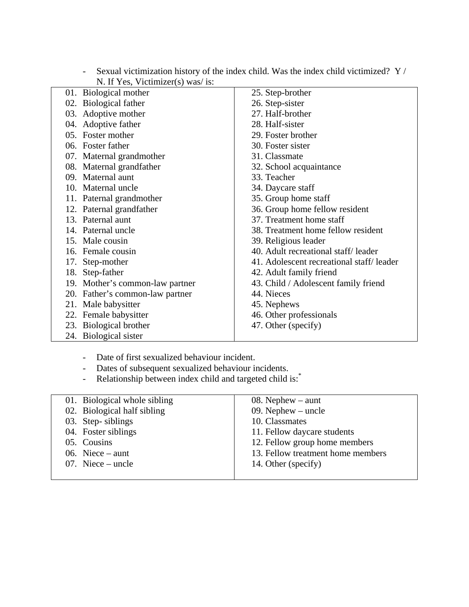| N. If Yes, Victimizer(s) was/ is: |                                          |
|-----------------------------------|------------------------------------------|
| 01. Biological mother             | 25. Step-brother                         |
| 02. Biological father             | 26. Step-sister                          |
| 03. Adoptive mother               | 27. Half-brother                         |
| 04. Adoptive father               | 28. Half-sister                          |
| 05. Foster mother                 | 29. Foster brother                       |
| 06. Foster father                 | 30. Foster sister                        |
| 07. Maternal grandmother          | 31. Classmate                            |
| 08. Maternal grandfather          | 32. School acquaintance                  |
| 09. Maternal aunt                 | 33. Teacher                              |
| 10. Maternal uncle                | 34. Daycare staff                        |
| 11. Paternal grandmother          | 35. Group home staff                     |
| 12. Paternal grandfather          | 36. Group home fellow resident           |
| 13. Paternal aunt                 | 37. Treatment home staff                 |
| 14. Paternal uncle                | 38. Treatment home fellow resident       |
| 15. Male cousin                   | 39. Religious leader                     |
| 16. Female cousin                 | 40. Adult recreational staff/leader      |
| 17. Step-mother                   | 41. Adolescent recreational staff/leader |
| 18. Step-father                   | 42. Adult family friend                  |
| 19. Mother's common-law partner   | 43. Child / Adolescent family friend     |
| 20. Father's common-law partner   | 44. Nieces                               |
| 21. Male babysitter               | 45. Nephews                              |
| 22. Female babysitter             | 46. Other professionals                  |
| 23. Biological brother            | 47. Other (specify)                      |
| 24. Biological sister             |                                          |

- Sexual victimization history of the index child. Was the index child victimized? Y / N. If Yes, Victimizer(s) was/ is:

- Date of first sexualized behaviour incident.

- Dates of subsequent sexualized behaviour incidents.
- Relationship between index child and targeted child is:<sup>\*</sup>

| 01. Biological whole sibling | 08. Nephew $-$ aunt               |
|------------------------------|-----------------------------------|
| 02. Biological half sibling  | 09. Nephew $-$ uncle              |
| 03. Step-siblings            | 10. Classmates                    |
| 04. Foster siblings          | 11. Fellow daycare students       |
| 05. Cousins                  | 12. Fellow group home members     |
| 06. Niece $-$ aunt           | 13. Fellow treatment home members |
| 07. Niece $-$ uncle          | 14. Other (specify)               |
|                              |                                   |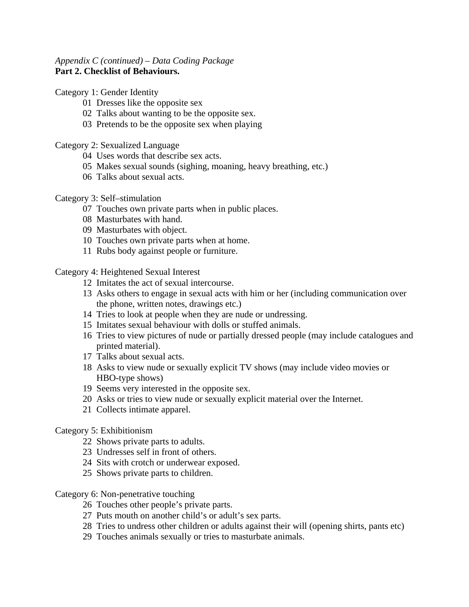#### *Appendix C (continued) – Data Coding Package* **Part 2. Checklist of Behaviours.**

#### Category 1: Gender Identity

- Dresses like the opposite sex
- Talks about wanting to be the opposite sex.
- Pretends to be the opposite sex when playing

#### Category 2: Sexualized Language

- Uses words that describe sex acts.
- Makes sexual sounds (sighing, moaning, heavy breathing, etc.)
- Talks about sexual acts.

#### Category 3: Self–stimulation

- Touches own private parts when in public places.
- Masturbates with hand.
- Masturbates with object.
- Touches own private parts when at home.
- Rubs body against people or furniture.

Category 4: Heightened Sexual Interest

- Imitates the act of sexual intercourse.
- Asks others to engage in sexual acts with him or her (including communication over the phone, written notes, drawings etc.)
- Tries to look at people when they are nude or undressing.
- Imitates sexual behaviour with dolls or stuffed animals.
- Tries to view pictures of nude or partially dressed people (may include catalogues and printed material).
- Talks about sexual acts.
- Asks to view nude or sexually explicit TV shows (may include video movies or HBO-type shows)
- Seems very interested in the opposite sex.
- Asks or tries to view nude or sexually explicit material over the Internet.
- Collects intimate apparel.

#### Category 5: Exhibitionism

- Shows private parts to adults.
- Undresses self in front of others.
- Sits with crotch or underwear exposed.
- Shows private parts to children.

#### Category 6: Non-penetrative touching

- Touches other people's private parts.
- Puts mouth on another child's or adult's sex parts.
- Tries to undress other children or adults against their will (opening shirts, pants etc)
- Touches animals sexually or tries to masturbate animals.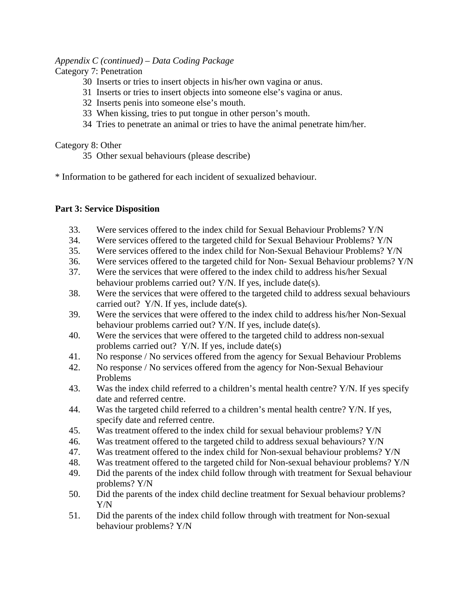#### *Appendix C (continued) – Data Coding Package*

## Category 7: Penetration

- 30 Inserts or tries to insert objects in his/her own vagina or anus.
- 31 Inserts or tries to insert objects into someone else's vagina or anus.
- 32 Inserts penis into someone else's mouth.
- 33 When kissing, tries to put tongue in other person's mouth.
- 34 Tries to penetrate an animal or tries to have the animal penetrate him/her.

#### Category 8: Other

35 Other sexual behaviours (please describe)

\* Information to be gathered for each incident of sexualized behaviour.

#### **Part 3: Service Disposition**

- 33. Were services offered to the index child for Sexual Behaviour Problems? Y/N
- 34. Were services offered to the targeted child for Sexual Behaviour Problems? Y/N
- 35. Were services offered to the index child for Non-Sexual Behaviour Problems? Y/N
- 36. Were services offered to the targeted child for Non- Sexual Behaviour problems? Y/N
- 37. Were the services that were offered to the index child to address his/her Sexual behaviour problems carried out? Y/N. If yes, include date(s).
- 38. Were the services that were offered to the targeted child to address sexual behaviours carried out? Y/N. If yes, include date(s).
- 39. Were the services that were offered to the index child to address his/her Non-Sexual behaviour problems carried out? Y/N. If yes, include date(s).
- 40. Were the services that were offered to the targeted child to address non-sexual problems carried out? Y/N. If yes, include date(s)
- 41. No response / No services offered from the agency for Sexual Behaviour Problems
- 42. No response / No services offered from the agency for Non-Sexual Behaviour Problems
- 43. Was the index child referred to a children's mental health centre? Y/N. If yes specify date and referred centre.
- 44. Was the targeted child referred to a children's mental health centre? Y/N. If yes, specify date and referred centre.
- 45. Was treatment offered to the index child for sexual behaviour problems? Y/N
- 46. Was treatment offered to the targeted child to address sexual behaviours? Y/N
- 47. Was treatment offered to the index child for Non-sexual behaviour problems? Y/N
- 48. Was treatment offered to the targeted child for Non-sexual behaviour problems? Y/N
- 49. Did the parents of the index child follow through with treatment for Sexual behaviour problems? Y/N
- 50. Did the parents of the index child decline treatment for Sexual behaviour problems? Y/N
- 51. Did the parents of the index child follow through with treatment for Non-sexual behaviour problems? Y/N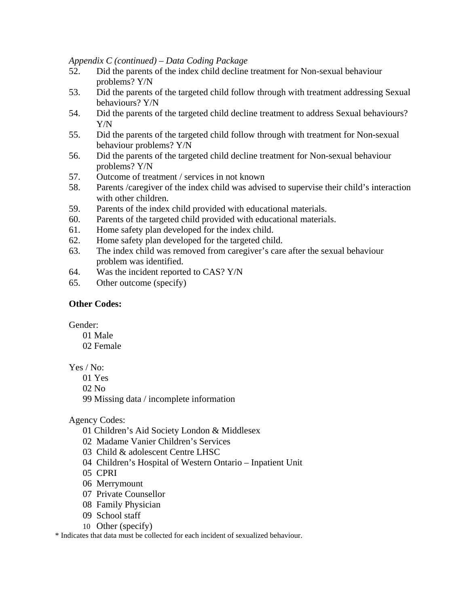*Appendix C (continued) – Data Coding Package*

- 52. Did the parents of the index child decline treatment for Non-sexual behaviour problems? Y/N
- 53. Did the parents of the targeted child follow through with treatment addressing Sexual behaviours? Y/N
- 54. Did the parents of the targeted child decline treatment to address Sexual behaviours? Y/N
- 55. Did the parents of the targeted child follow through with treatment for Non-sexual behaviour problems? Y/N
- 56. Did the parents of the targeted child decline treatment for Non-sexual behaviour problems? Y/N
- 57. Outcome of treatment / services in not known
- 58. Parents /caregiver of the index child was advised to supervise their child's interaction with other children.
- 59. Parents of the index child provided with educational materials.
- 60. Parents of the targeted child provided with educational materials.
- 61. Home safety plan developed for the index child.
- 62. Home safety plan developed for the targeted child.
- 63. The index child was removed from caregiver's care after the sexual behaviour problem was identified.
- 64. Was the incident reported to CAS? Y/N
- 65. Other outcome (specify)

## **Other Codes:**

Gender:

- 01 Male
- 02 Female

Yes / No:

- 01 Yes
- 02 No

99 Missing data / incomplete information

Agency Codes:

- 01 Children's Aid Society London & Middlesex
- 02 Madame Vanier Children's Services
- 03 Child & adolescent Centre LHSC
- 04 Children's Hospital of Western Ontario Inpatient Unit
- 05 CPRI
- 06 Merrymount
- 07 Private Counsellor
- 08 Family Physician
- 09 School staff
- 10 Other (specify)

\* Indicates that data must be collected for each incident of sexualized behaviour.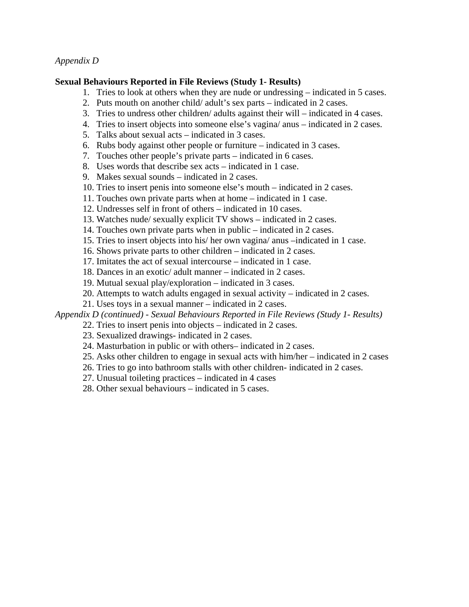#### *Appendix D*

#### **Sexual Behaviours Reported in File Reviews (Study 1- Results)**

- 1. Tries to look at others when they are nude or undressing indicated in 5 cases.
- 2. Puts mouth on another child/ adult's sex parts indicated in 2 cases.
- 3. Tries to undress other children/ adults against their will indicated in 4 cases.
- 4. Tries to insert objects into someone else's vagina/ anus indicated in 2 cases.
- 5. Talks about sexual acts indicated in 3 cases.
- 6. Rubs body against other people or furniture indicated in 3 cases.
- 7. Touches other people's private parts indicated in 6 cases.
- 8. Uses words that describe sex acts indicated in 1 case.
- 9. Makes sexual sounds indicated in 2 cases.
- 10. Tries to insert penis into someone else's mouth indicated in 2 cases.
- 11. Touches own private parts when at home indicated in 1 case.
- 12. Undresses self in front of others indicated in 10 cases.
- 13. Watches nude/ sexually explicit TV shows indicated in 2 cases.
- 14. Touches own private parts when in public indicated in 2 cases.
- 15. Tries to insert objects into his/ her own vagina/ anus –indicated in 1 case.
- 16. Shows private parts to other children indicated in 2 cases.
- 17. Imitates the act of sexual intercourse indicated in 1 case.
- 18. Dances in an exotic/ adult manner indicated in 2 cases.
- 19. Mutual sexual play/exploration indicated in 3 cases.
- 20. Attempts to watch adults engaged in sexual activity indicated in 2 cases.
- 21. Uses toys in a sexual manner indicated in 2 cases.

*Appendix D (continued) - Sexual Behaviours Reported in File Reviews (Study 1- Results)*

- 22. Tries to insert penis into objects indicated in 2 cases.
- 23. Sexualized drawings- indicated in 2 cases.
- 24. Masturbation in public or with others– indicated in 2 cases.
- 25. Asks other children to engage in sexual acts with him/her indicated in 2 cases
- 26. Tries to go into bathroom stalls with other children- indicated in 2 cases.
- 27. Unusual toileting practices indicated in 4 cases
- 28. Other sexual behaviours indicated in 5 cases.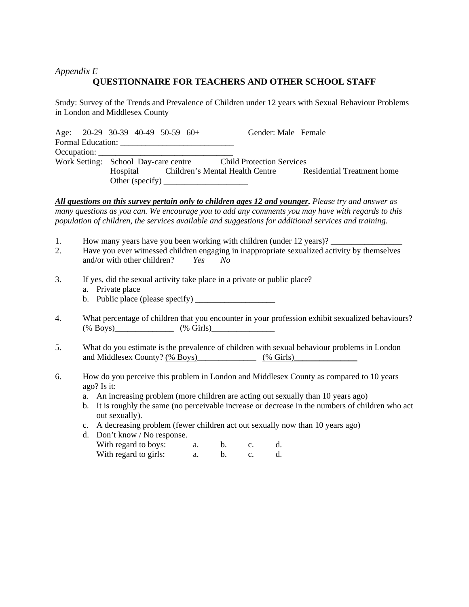## *Appendix E*  **QUESTIONNAIRE FOR TEACHERS AND OTHER SCHOOL STAFF**

Study: Survey of the Trends and Prevalence of Children under 12 years with Sexual Behaviour Problems in London and Middlesex County

Age: 20-29 30-39 40-49 50-59 60+ Gender: Male Female Formal Education: \_\_\_\_\_\_\_\_\_\_\_\_\_\_\_\_\_\_\_\_\_\_\_\_\_\_\_ Occupation: Work Setting: School Day-care centre Child Protection Services Hospital Children's Mental Health Centre Residential Treatment home Other (specify) \_\_\_\_\_\_\_\_\_\_\_\_\_\_\_\_\_\_\_\_

*All questions on this survey pertain only to children ages 12 and younger. Please try and answer as many questions as you can. We encourage you to add any comments you may have with regards to this population of children, the services available and suggestions for additional services and training.*

- 1. How many years have you been working with children (under 12 years)?
- 2. Have you ever witnessed children engaging in inappropriate sexualized activity by themselves and/or with other children? *Yes No*
- 3. If yes, did the sexual activity take place in a private or public place?
	- a. Private place
	- b. Public place (please specify)  $\frac{1}{\sqrt{1-\frac{1}{2}}}\$
- 4. What percentage of children that you encounter in your profession exhibit sexualized behaviours?  $\frac{(\% \text{Boys})}{(\% \text{Boys})}$   $\frac{(\% \text{ Girls})}{(\% \text{ Coirs})}$
- 5. What do you estimate is the prevalence of children with sexual behaviour problems in London and Middlesex County? (% Boys)\_\_\_\_\_\_\_\_\_\_\_\_\_\_\_ (% Girls)\_\_\_\_\_\_\_\_\_\_\_\_\_\_\_\_\_\_\_\_\_\_\_\_\_
- 6. How do you perceive this problem in London and Middlesex County as compared to 10 years ago? Is it:
	- a. An increasing problem (more children are acting out sexually than 10 years ago)
	- b. It is roughly the same (no perceivable increase or decrease in the numbers of children who act out sexually).
	- c. A decreasing problem (fewer children act out sexually now than 10 years ago)

| d. Don't know / No response. |  |  |
|------------------------------|--|--|
| With regard to boys:         |  |  |
| With regard to girls:        |  |  |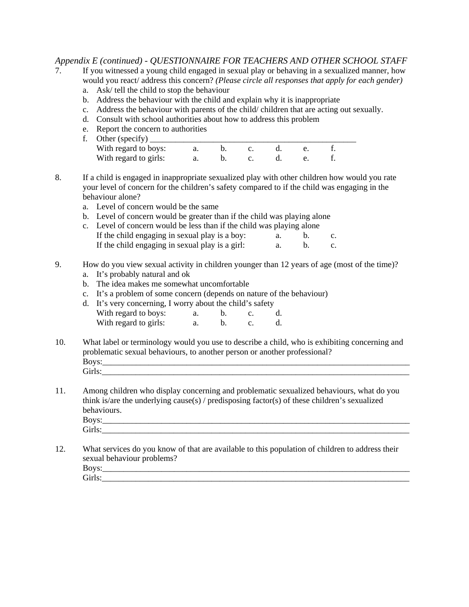#### *Appendix E (continued) - QUESTIONNAIRE FOR TEACHERS AND OTHER SCHOOL STAFF*

- 7. If you witnessed a young child engaged in sexual play or behaving in a sexualized manner, how would you react/ address this concern? *(Please circle all responses that apply for each gender)*
	- a. Ask/ tell the child to stop the behaviour
	- b. Address the behaviour with the child and explain why it is inappropriate
	- c. Address the behaviour with parents of the child/ children that are acting out sexually.
	- d. Consult with school authorities about how to address this problem
	- e. Report the concern to authorities

| f. Other (specify)    |  |  |  |  |
|-----------------------|--|--|--|--|
| With regard to boys:  |  |  |  |  |
| With regard to girls: |  |  |  |  |

- 8. If a child is engaged in inappropriate sexualized play with other children how would you rate your level of concern for the children's safety compared to if the child was engaging in the behaviour alone?
	- a. Level of concern would be the same
	- b. Level of concern would be greater than if the child was playing alone
	- c. Level of concern would be less than if the child was playing alone If the child engaging in sexual play is a boy: a. b. c. If the child engaging in sexual play is a girl:  $a. b. c.$

# 9. How do you view sexual activity in children younger than 12 years of age (most of the time)?

- a. It's probably natural and ok
- b. The idea makes me somewhat uncomfortable
- c. It's a problem of some concern (depends on nature of the behaviour)
- d. It's very concerning, I worry about the child's safety With regard to boys: a. b. c. d. With regard to girls: a. b. c. d.
- 10. What label or terminology would you use to describe a child, who is exhibiting concerning and problematic sexual behaviours, to another person or another professional? Boys: Girls:\_\_\_\_\_\_\_\_\_\_\_\_\_\_\_\_\_\_\_\_\_\_\_\_\_\_\_\_\_\_\_\_\_\_\_\_\_\_\_\_\_\_\_\_\_\_\_\_\_\_\_\_\_\_\_\_\_\_\_\_\_\_\_\_\_\_\_\_\_\_\_\_\_
- 11. Among children who display concerning and problematic sexualized behaviours, what do you think is/are the underlying cause(s) / predisposing factor(s) of these children's sexualized behaviours.

| ____________ |
|--------------|

12. What services do you know of that are available to this population of children to address their sexual behaviour problems?

Boys:\_\_\_\_\_\_\_\_\_\_\_\_\_\_\_\_\_\_\_\_\_\_\_\_\_\_\_\_\_\_\_\_\_\_\_\_\_\_\_\_\_\_\_\_\_\_\_\_\_\_\_\_\_\_\_\_\_\_\_\_\_\_\_\_\_\_\_\_\_\_\_\_\_ Girls: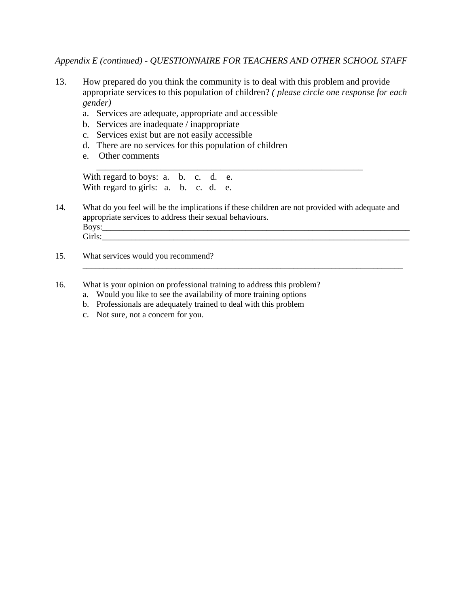*Appendix E (continued) - QUESTIONNAIRE FOR TEACHERS AND OTHER SCHOOL STAFF* 

- 13. How prepared do you think the community is to deal with this problem and provide appropriate services to this population of children? *( please circle one response for each gender)*
	- a. Services are adequate, appropriate and accessible
	- b. Services are inadequate / inappropriate
	- c. Services exist but are not easily accessible
	- d. There are no services for this population of children
	- e. Other comments

With regard to boys: a. b. c. d. e. With regard to girls: a. b. c. d. e.

14. What do you feel will be the implications if these children are not provided with adequate and appropriate services to address their sexual behaviours. Boys:\_\_\_\_\_\_\_\_\_\_\_\_\_\_\_\_\_\_\_\_\_\_\_\_\_\_\_\_\_\_\_\_\_\_\_\_\_\_\_\_\_\_\_\_\_\_\_\_\_\_\_\_\_\_\_\_\_\_\_\_\_\_\_\_\_\_\_\_\_\_\_\_\_ Girls:

\_\_\_\_\_\_\_\_\_\_\_\_\_\_\_\_\_\_\_\_\_\_\_\_\_\_\_\_\_\_\_\_\_\_\_\_\_\_\_\_\_\_\_\_\_\_\_\_\_\_\_\_\_\_\_\_\_\_\_\_\_\_\_\_\_\_\_\_\_\_\_\_\_\_\_\_

\_\_\_\_\_\_\_\_\_\_\_\_\_\_\_\_\_\_\_\_\_\_\_\_\_\_\_\_\_\_\_\_\_\_\_\_\_\_\_\_\_\_\_\_\_\_\_\_\_\_\_\_\_\_\_\_\_\_

- 15. What services would you recommend?
- 16. What is your opinion on professional training to address this problem?
	- a. Would you like to see the availability of more training options
	- b. Professionals are adequately trained to deal with this problem
	- c. Not sure, not a concern for you.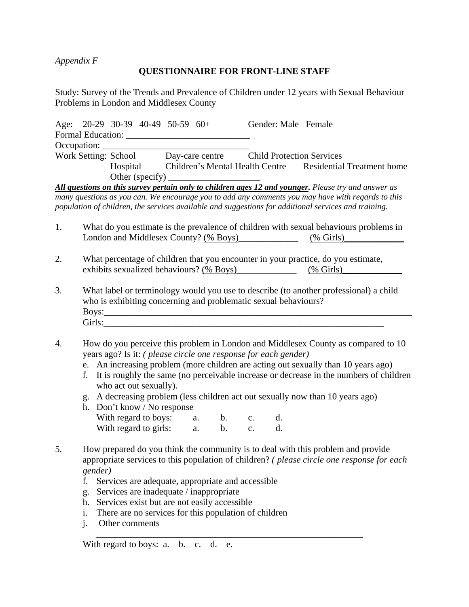*Appendix F* 

## **QUESTIONNAIRE FOR FRONT-LINE STAFF**

Study: Survey of the Trends and Prevalence of Children under 12 years with Sexual Behaviour Problems in London and Middlesex County

|                      | Age: $20-29$ 30-39 40-49 50-59 60+ |                                                                                                                                                                                                                                    | Gender: Male Female |                                                                     |
|----------------------|------------------------------------|------------------------------------------------------------------------------------------------------------------------------------------------------------------------------------------------------------------------------------|---------------------|---------------------------------------------------------------------|
|                      |                                    |                                                                                                                                                                                                                                    |                     |                                                                     |
|                      |                                    |                                                                                                                                                                                                                                    |                     |                                                                     |
| Work Setting: School |                                    | Day-care centre Child Protection Services                                                                                                                                                                                          |                     |                                                                     |
|                      |                                    |                                                                                                                                                                                                                                    |                     | Hospital Children's Mental Health Centre Residential Treatment home |
|                      |                                    | Other (specify) $\qquad \qquad$                                                                                                                                                                                                    |                     |                                                                     |
| $\sim$ $\sim$ $\sim$ |                                    | $\mathcal{A}$ , and a set of the set of the set of the set of the set of the set of the set of the set of the set of the set of the set of the set of the set of the set of the set of the set of the set of the set of the set of |                     |                                                                     |

*All questions on this survey pertain only to children ages 12 and younger. Please try and answer as many questions as you can. We encourage you to add any comments you may have with regards to this population of children, the services available and suggestions for additional services and training.*

- 1. What do you estimate is the prevalence of children with sexual behaviours problems in London and Middlesex County? (% Boys) (% Girls)
- 2. What percentage of children that you encounter in your practice, do you estimate, exhibits sexualized behaviours? (% Boys)\_\_\_\_\_\_\_\_\_\_\_\_\_\_\_\_\_\_ (% Girls)\_
- 3. What label or terminology would you use to describe (to another professional) a child who is exhibiting concerning and problematic sexual behaviours? Boys:\_\_\_\_\_\_\_\_\_\_\_\_\_\_\_\_\_\_\_\_\_\_\_\_\_\_\_\_\_\_\_\_\_\_\_\_\_\_\_\_\_\_\_\_\_\_\_\_\_\_\_\_\_\_\_\_\_\_\_\_\_\_\_\_\_\_\_  $Girls:$
- 4. How do you perceive this problem in London and Middlesex County as compared to 10 years ago? Is it: *( please circle one response for each gender)*
	- e. An increasing problem (more children are acting out sexually than 10 years ago)
	- f. It is roughly the same (no perceivable increase or decrease in the numbers of children who act out sexually).
	- g. A decreasing problem (less children act out sexually now than 10 years ago)
	- h. Don't know / No response With regard to boys: a. b. c. d. With regard to girls: a. b. c. d.
- 5. How prepared do you think the community is to deal with this problem and provide appropriate services to this population of children? *( please circle one response for each gender)*

\_\_\_\_\_\_\_\_\_\_\_\_\_\_\_\_\_\_\_\_\_\_\_\_\_\_\_\_\_\_\_\_\_\_\_\_\_\_\_\_\_\_\_\_\_\_\_\_\_\_\_\_\_\_\_\_\_\_

- f. Services are adequate, appropriate and accessible
- g. Services are inadequate / inappropriate
- h. Services exist but are not easily accessible
- i. There are no services for this population of children
- j. Other comments

With regard to boys: a. b. c. d. e.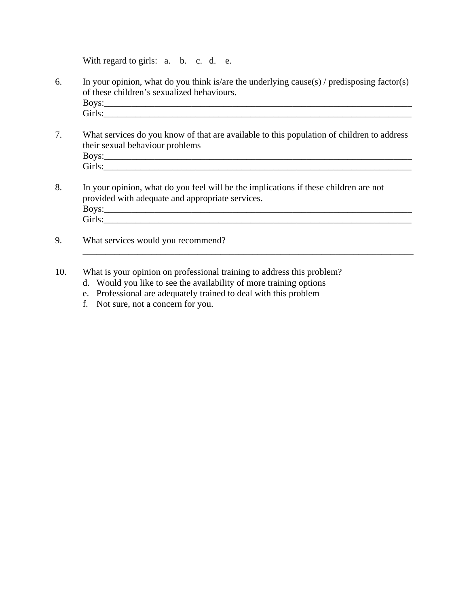With regard to girls: a. b. c. d. e.

- 6. In your opinion, what do you think is/are the underlying cause(s) / predisposing factor(s) of these children's sexualized behaviours. Boys:\_\_\_\_\_\_\_\_\_\_\_\_\_\_\_\_\_\_\_\_\_\_\_\_\_\_\_\_\_\_\_\_\_\_\_\_\_\_\_\_\_\_\_\_\_\_\_\_\_\_\_\_\_\_\_\_\_\_\_\_\_\_\_\_\_\_\_ Girls:\_\_\_\_\_\_\_\_\_\_\_\_\_\_\_\_\_\_\_\_\_\_\_\_\_\_\_\_\_\_\_\_\_\_\_\_\_\_\_\_\_\_\_\_\_\_\_\_\_\_\_\_\_\_\_\_\_\_\_\_\_\_\_\_\_\_\_
- 7. What services do you know of that are available to this population of children to address their sexual behaviour problems Boys:\_\_\_\_\_\_\_\_\_\_\_\_\_\_\_\_\_\_\_\_\_\_\_\_\_\_\_\_\_\_\_\_\_\_\_\_\_\_\_\_\_\_\_\_\_\_\_\_\_\_\_\_\_\_\_\_\_\_\_\_\_\_\_\_\_\_\_ Girls:\_\_\_\_\_\_\_\_\_\_\_\_\_\_\_\_\_\_\_\_\_\_\_\_\_\_\_\_\_\_\_\_\_\_\_\_\_\_\_\_\_\_\_\_\_\_\_\_\_\_\_\_\_\_\_\_\_\_\_\_\_\_\_\_\_\_\_

 $\_$  , and the set of the set of the set of the set of the set of the set of the set of the set of the set of the set of the set of the set of the set of the set of the set of the set of the set of the set of the set of th

- 8. In your opinion, what do you feel will be the implications if these children are not provided with adequate and appropriate services. Boys:\_\_\_\_\_\_\_\_\_\_\_\_\_\_\_\_\_\_\_\_\_\_\_\_\_\_\_\_\_\_\_\_\_\_\_\_\_\_\_\_\_\_\_\_\_\_\_\_\_\_\_\_\_\_\_\_\_\_\_\_\_\_\_\_\_\_\_ Girls:\_\_\_\_\_\_\_\_\_\_\_\_\_\_\_\_\_\_\_\_\_\_\_\_\_\_\_\_\_\_\_\_\_\_\_\_\_\_\_\_\_\_\_\_\_\_\_\_\_\_\_\_\_\_\_\_\_\_\_\_\_\_\_\_\_\_\_
- 9. What services would you recommend?
- 10. What is your opinion on professional training to address this problem?
	- d. Would you like to see the availability of more training options
	- e. Professional are adequately trained to deal with this problem
	- f. Not sure, not a concern for you.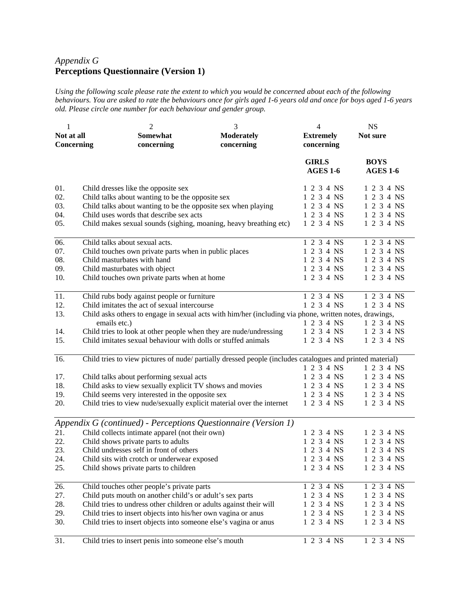# *Appendix G*  **Perceptions Questionnaire (Version 1)**

*Using the following scale please rate the extent to which you would be concerned about each of the following behaviours. You are asked to rate the behaviours once for girls aged 1-6 years old and once for boys aged 1-6 years old. Please circle one number for each behaviour and gender group.* 

| 1<br>Not at all                 | $\overline{2}$<br>Somewhat                                                                                                                                                                                                                                               | 3<br><b>Moderately</b> | $\overline{4}$<br><b>Extremely</b>                                 | <b>NS</b><br>Not sure                                              |
|---------------------------------|--------------------------------------------------------------------------------------------------------------------------------------------------------------------------------------------------------------------------------------------------------------------------|------------------------|--------------------------------------------------------------------|--------------------------------------------------------------------|
| Concerning                      | concerning                                                                                                                                                                                                                                                               | concerning             | concerning                                                         |                                                                    |
|                                 |                                                                                                                                                                                                                                                                          |                        | <b>GIRLS</b><br><b>AGES 1-6</b>                                    | <b>BOYS</b><br><b>AGES 1-6</b>                                     |
| 01.<br>02.<br>03.<br>04.<br>05. | Child dresses like the opposite sex<br>Child talks about wanting to be the opposite sex<br>Child talks about wanting to be the opposite sex when playing<br>Child uses words that describe sex acts<br>Child makes sexual sounds (sighing, moaning, heavy breathing etc) |                        | 1 2 3 4 NS<br>1 2 3 4 NS<br>1 2 3 4 NS<br>1 2 3 4 NS<br>1 2 3 4 NS | 1 2 3 4 NS<br>1 2 3 4 NS<br>1 2 3 4 NS<br>1 2 3 4 NS<br>1 2 3 4 NS |
| 06.<br>07.<br>08.<br>09.<br>10. | Child talks about sexual acts.<br>Child touches own private parts when in public places<br>Child masturbates with hand<br>Child masturbates with object<br>Child touches own private parts when at home                                                                  |                        | 1 2 3 4 NS<br>1 2 3 4 NS<br>1 2 3 4 NS<br>1 2 3 4 NS<br>1 2 3 4 NS | 1 2 3 4 NS<br>1 2 3 4 NS<br>1 2 3 4 NS<br>1 2 3 4 NS<br>1 2 3 4 NS |
| 11.                             | Child rubs body against people or furniture                                                                                                                                                                                                                              |                        | 1 2 3 4 NS                                                         | $1234 \overline{\text{NS}}$                                        |
| 12.<br>13.                      | Child imitates the act of sexual intercourse<br>Child asks others to engage in sexual acts with him/her (including via phone, written notes, drawings,<br>emails etc.)                                                                                                   |                        | 1 2 3 4 NS<br>1 2 3 4 NS                                           | 1 2 3 4 NS<br>1 2 3 4 NS                                           |
| 14.                             | Child tries to look at other people when they are nude/undressing                                                                                                                                                                                                        |                        | 1 2 3 4 NS                                                         | 1 2 3 4 NS                                                         |
| 15.                             | Child imitates sexual behaviour with dolls or stuffed animals                                                                                                                                                                                                            |                        | 1 2 3 4 NS                                                         | 1 2 3 4 NS                                                         |
| 16.                             | Child tries to view pictures of nude/ partially dressed people (includes catalogues and printed material)                                                                                                                                                                |                        | 1 2 3 4 NS                                                         | 1 2 3 4 NS                                                         |
| 17.                             | Child talks about performing sexual acts                                                                                                                                                                                                                                 |                        | 1 2 3 4 NS                                                         | 1 2 3 4 NS                                                         |
| 18.                             | Child asks to view sexually explicit TV shows and movies                                                                                                                                                                                                                 |                        | 1 2 3 4 NS                                                         | 1 2 3 4 NS                                                         |
| 19.                             | Child seems very interested in the opposite sex                                                                                                                                                                                                                          |                        | 1 2 3 4 NS                                                         | 1 2 3 4 NS                                                         |
| 20.                             | Child tries to view nude/sexually explicit material over the internet                                                                                                                                                                                                    |                        | 1 2 3 4 NS                                                         | 1 2 3 4 NS                                                         |
|                                 | Appendix G (continued) - Perceptions Questionnaire (Version 1)                                                                                                                                                                                                           |                        |                                                                    |                                                                    |
| 21.                             | Child collects intimate apparel (not their own)                                                                                                                                                                                                                          |                        | 1 2 3 4 NS                                                         | 1 2 3 4 NS                                                         |
| 22.                             | Child shows private parts to adults                                                                                                                                                                                                                                      |                        | 1 2 3 4 NS                                                         | 1 2 3 4 NS                                                         |
| 23.                             | Child undresses self in front of others                                                                                                                                                                                                                                  |                        | 1 2 3 4 NS                                                         | 1 2 3 4 NS                                                         |
| 24.                             | Child sits with crotch or underwear exposed                                                                                                                                                                                                                              |                        | 1 2 3 4 NS                                                         | 1 2 3 4 NS                                                         |
| 25.                             | Child shows private parts to children                                                                                                                                                                                                                                    |                        | 1 2 3 4 NS                                                         | 1 2 3 4 NS                                                         |
| 26.                             | Child touches other people's private parts                                                                                                                                                                                                                               |                        | 1 2 3 4 NS                                                         | 1 2 3 4 NS                                                         |
| 27.                             | Child puts mouth on another child's or adult's sex parts                                                                                                                                                                                                                 |                        | 1 2 3 4 NS                                                         | 1 2 3 4 NS                                                         |
| 28.                             | Child tries to undress other children or adults against their will                                                                                                                                                                                                       |                        | 1 2 3 4 NS                                                         | 1 2 3 4 NS                                                         |
| 29.                             | Child tries to insert objects into his/her own vagina or anus                                                                                                                                                                                                            |                        | 1 2 3 4 NS                                                         | 1 2 3 4 NS                                                         |
| 30.                             | Child tries to insert objects into someone else's vagina or anus                                                                                                                                                                                                         |                        | 1 2 3 4 NS                                                         | 1 2 3 4 NS                                                         |
| 31.                             | Child tries to insert penis into someone else's mouth                                                                                                                                                                                                                    |                        | 1 2 3 4 NS                                                         | 1 2 3 4 NS                                                         |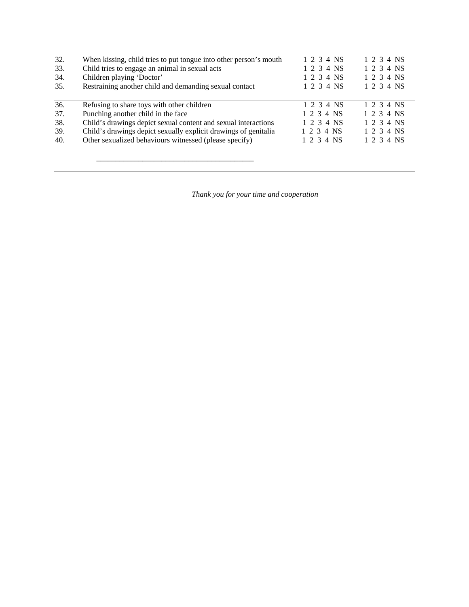| 32. | When kissing, child tries to put tongue into other person's mouth | 1 2 3 4 NS | 1 2 3 4 NS |
|-----|-------------------------------------------------------------------|------------|------------|
| 33. | Child tries to engage an animal in sexual acts                    | 1 2 3 4 NS | 1 2 3 4 NS |
| 34. | Children playing 'Doctor'                                         | 1 2 3 4 NS | 1 2 3 4 NS |
| 35. | Restraining another child and demanding sexual contact            | 1 2 3 4 NS | 1 2 3 4 NS |
|     |                                                                   |            |            |
| 36. | Refusing to share toys with other children                        | 1 2 3 4 NS | 1 2 3 4 NS |
| 37. | Punching another child in the face                                | 1 2 3 4 NS | 1 2 3 4 NS |
| 38. | Child's drawings depict sexual content and sexual interactions    | 1 2 3 4 NS | 1 2 3 4 NS |
| 39. | Child's drawings depict sexually explicit drawings of genitalia   | 1 2 3 4 NS | 1 2 3 4 NS |
| 40. | Other sexualized behaviours witnessed (please specify)            | 1 2 3 4 NS | 1 2 3 4 NS |
|     |                                                                   |            |            |

\_\_\_\_\_\_\_\_\_\_\_\_\_\_\_\_\_\_\_\_\_\_\_\_\_\_\_\_\_\_\_\_\_\_\_\_\_\_\_\_\_

*Thank you for your time and cooperation*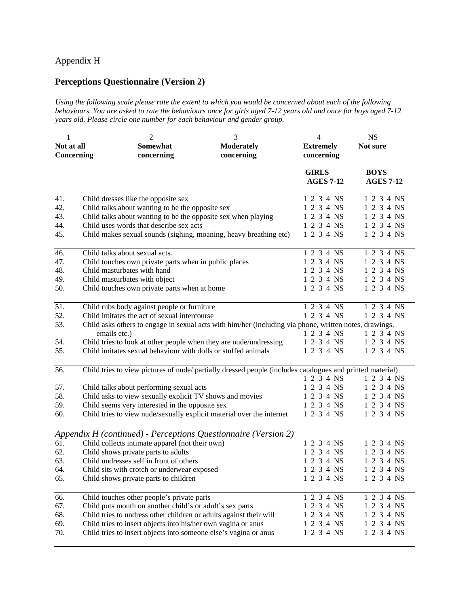## Appendix H

# **Perceptions Questionnaire (Version 2)**

*Using the following scale please rate the extent to which you would be concerned about each of the following behaviours. You are asked to rate the behaviours once for girls aged 7-12 years old and once for boys aged 7-12 years old. Please circle one number for each behaviour and gender group.* 

| 1                        | $\overline{c}$                                                                                                         | 3                               | $\overline{4}$                   | <b>NS</b>                       |
|--------------------------|------------------------------------------------------------------------------------------------------------------------|---------------------------------|----------------------------------|---------------------------------|
| Not at all<br>Concerning | Somewhat<br>concerning                                                                                                 | <b>Moderately</b><br>concerning | <b>Extremely</b><br>concerning   | Not sure                        |
|                          |                                                                                                                        |                                 | <b>GIRLS</b><br><b>AGES 7-12</b> | <b>BOYS</b><br><b>AGES 7-12</b> |
| 41.                      | Child dresses like the opposite sex                                                                                    |                                 | 1 2 3 4 NS                       | 1 2 3 4 NS                      |
| 42.                      | Child talks about wanting to be the opposite sex                                                                       |                                 | 1 2 3 4 NS                       | 1 2 3 4 NS                      |
| 43.                      | Child talks about wanting to be the opposite sex when playing                                                          |                                 | 1 2 3 4 NS                       | 1 2 3 4 NS                      |
| 44.                      | Child uses words that describe sex acts                                                                                |                                 | 1 2 3 4 NS                       | 1 2 3 4 NS                      |
| 45.                      | Child makes sexual sounds (sighing, moaning, heavy breathing etc)                                                      |                                 | 1 2 3 4 NS                       | 1 2 3 4 NS                      |
| 46.                      | Child talks about sexual acts.                                                                                         |                                 | 1 2 3 4 NS                       | 1 2 3 4 NS                      |
| 47.                      | Child touches own private parts when in public places                                                                  |                                 | 1 2 3 4 NS                       | 1 2 3 4 NS                      |
| 48.                      | Child masturbates with hand                                                                                            |                                 | 1 2 3 4 NS                       | 1 2 3 4 NS                      |
| 49.                      | Child masturbates with object                                                                                          |                                 | 1 2 3 4 NS                       | 1 2 3 4 NS                      |
| 50.                      | Child touches own private parts when at home                                                                           |                                 | 1 2 3 4 NS                       | 1 2 3 4 NS                      |
| 51.                      | Child rubs body against people or furniture                                                                            |                                 | 1 2 3 4 NS                       | 1 2 3 4 NS                      |
| 52.                      | Child imitates the act of sexual intercourse                                                                           |                                 | 1 2 3 4 NS                       | 1 2 3 4 NS                      |
| 53.                      | Child asks others to engage in sexual acts with him/her (including via phone, written notes, drawings,<br>emails etc.) |                                 | 1 2 3 4 NS                       | 1 2 3 4 NS                      |
| 54.                      | Child tries to look at other people when they are nude/undressing                                                      |                                 | 1 2 3 4 NS                       | 1 2 3 4 NS                      |
| 55.                      | Child imitates sexual behaviour with dolls or stuffed animals                                                          |                                 | 1 2 3 4 NS                       | 1 2 3 4 NS                      |
| 56.                      | Child tries to view pictures of nude/ partially dressed people (includes catalogues and printed material)              |                                 | 1 2 3 4 NS                       |                                 |
| 57.                      |                                                                                                                        |                                 | 1 2 3 4 NS                       | 1 2 3 4 NS<br>1 2 3 4 NS        |
| 58.                      | Child talks about performing sexual acts<br>Child asks to view sexually explicit TV shows and movies                   |                                 | 1 2 3 4 NS                       | 1 2 3 4 NS                      |
| 59.                      | Child seems very interested in the opposite sex                                                                        |                                 | 1 2 3 4 NS                       | 1 2 3 4 NS                      |
| 60.                      | Child tries to view nude/sexually explicit material over the internet                                                  |                                 | 1 2 3 4 NS                       | 1 2 3 4 NS                      |
|                          | Appendix H (continued) - Perceptions Questionnaire (Version 2)                                                         |                                 |                                  |                                 |
| 61.                      | Child collects intimate apparel (not their own)                                                                        |                                 | 1 2 3 4 NS                       | 1 2 3 4 NS                      |
| 62.                      | Child shows private parts to adults                                                                                    |                                 | 1 2 3 4 NS                       | 1 2 3 4 NS                      |
| 63.                      | Child undresses self in front of others                                                                                |                                 | 1 2 3 4 NS                       | 1 2 3 4 NS                      |
| 64.                      | Child sits with crotch or underwear exposed                                                                            |                                 | 1 2 3 4 NS                       | 1 2 3 4 NS                      |
| 65.                      | Child shows private parts to children                                                                                  |                                 | 1 2 3 4 NS                       | 1 2 3 4 NS                      |
| 66.                      | Child touches other people's private parts                                                                             |                                 | $1234$ $\overline{\text{NS}}$    | 1 2 3 4 NS                      |
| 67.                      | Child puts mouth on another child's or adult's sex parts                                                               |                                 | 1 2 3 4 NS                       | 1 2 3 4 NS                      |
| 68.                      | Child tries to undress other children or adults against their will                                                     |                                 | 1 2 3 4 NS                       | 1 2 3 4 NS                      |
| 69.                      | Child tries to insert objects into his/her own vagina or anus                                                          |                                 | 1 2 3 4 NS                       | 1 2 3 4 NS                      |
| 70.                      | Child tries to insert objects into someone else's vagina or anus                                                       |                                 | 1 2 3 4 NS                       | 1 2 3 4 NS                      |